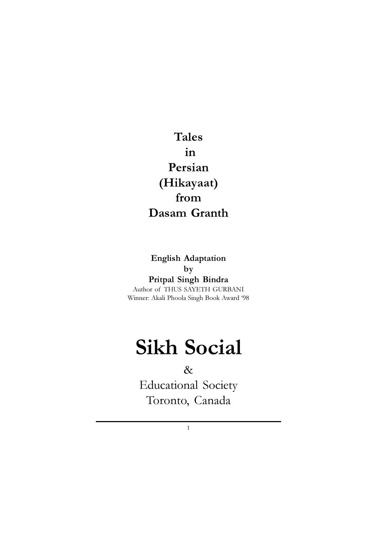## Tales in Persian (Hikayaat) from Dasam Granth

### English Adaptation by Pritpal Singh Bindra

Author of THUS SAYETH GURBANI Winner: Akali Phoola Singh Book Award '98

# Sikh Social

### &

Educational Society Toronto, Canada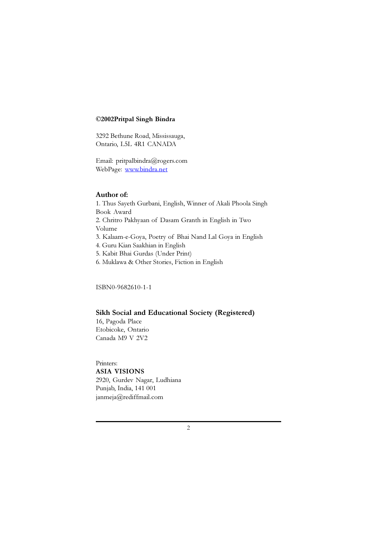#### ©2002Pritpal Singh Bindra

3292 Bethune Road, Mississauga, Ontario, L5L 4R1 CANADA

Email: pritpalbindra@rogers.com WebPage: www.bindra.net

#### Author of:

1. Thus Sayeth Gurbani, English, Winner of Akali Phoola Singh Book Award 2. Chritro Pakhyaan of Dasam Granth in English in Two Volume 3. Kalaam-e-Goya, Poetry of Bhai Nand Lal Goya in English 4. Guru Kian Saakhian in English 5. Kabit Bhai Gurdas (Under Print)

6. Muklawa & Other Stories, Fiction in English

ISBN0-9682610-1-1

#### Sikh Social and Educational Society (Registered)

16, Pagoda Place Etobicoke, Ontario Canada M9 V 2V2

Printers:

ASIA VISIONS

2920, Gurdev Nagar, Ludhiana Punjab, India, 141 001 janmeja@rediffmail.com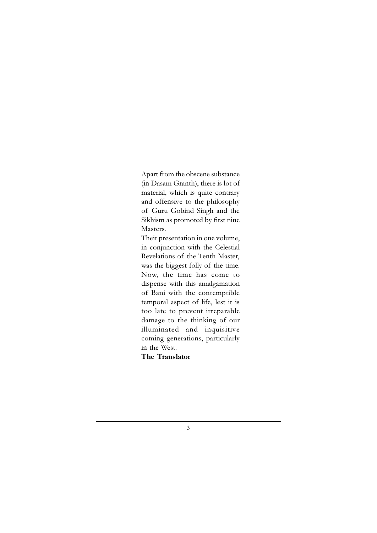Apart from the obscene substance (in Dasam Granth), there is lot of material, which is quite contrary and offensive to the philosophy of Guru Gobind Singh and the Sikhism as promoted by first nine Masters.

Their presentation in one volume, in conjunction with the Celestial Revelations of the Tenth Master, was the biggest folly of the time. Now, the time has come to dispense with this amalgamation of Bani with the contemptible temporal aspect of life, lest it is too late to prevent irreparable damage to the thinking of our illuminated and inquisitive coming generations, particularly in the West.

The Translator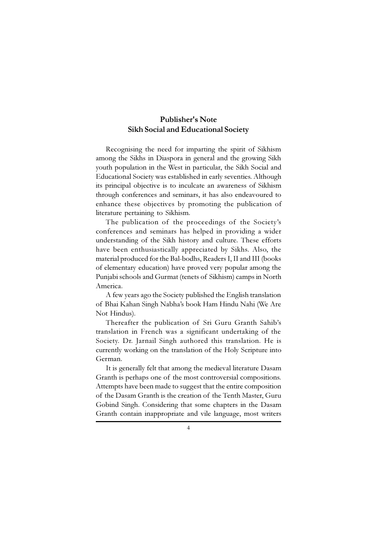### Publisher's Note Sikh Social and Educational Society

Recognising the need for imparting the spirit of Sikhism among the Sikhs in Diaspora in general and the growing Sikh youth population in the West in particular, the Sikh Social and Educational Society was established in early seventies. Although its principal objective is to inculcate an awareness of Sikhism through conferences and seminars, it has also endeavoured to enhance these objectives by promoting the publication of literature pertaining to Sikhism.

The publication of the proceedings of the Society's conferences and seminars has helped in providing a wider understanding of the Sikh history and culture. These efforts have been enthusiastically appreciated by Sikhs. Also, the material produced for the Bal-bodhs, Readers I, II and III (books of elementary education) have proved very popular among the Punjabi schools and Gurmat (tenets of Sikhism) camps in North America.

A few years ago the Society published the English translation of Bhai Kahan Singh Nabha's book Ham Hindu Nahi (We Are Not Hindus).

Thereafter the publication of Sri Guru Granth Sahib's translation in French was a significant undertaking of the Society. Dr. Jarnail Singh authored this translation. He is currently working on the translation of the Holy Scripture into German.

It is generally felt that among the medieval literature Dasam Granth is perhaps one of the most controversial compositions. Attempts have been made to suggest that the entire composition of the Dasam Granth is the creation of the Tenth Master, Guru Gobind Singh. Considering that some chapters in the Dasam Granth contain inappropriate and vile language, most writers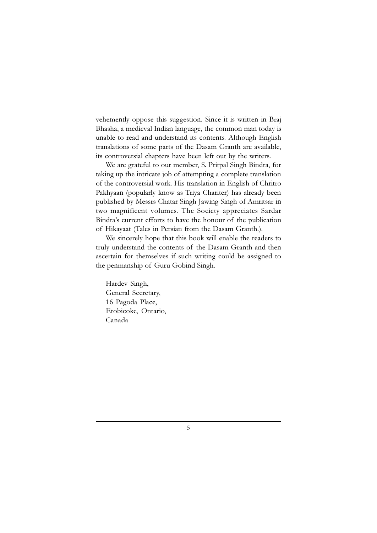vehemently oppose this suggestion. Since it is written in Braj Bhasha, a medieval Indian language, the common man today is unable to read and understand its contents. Although English translations of some parts of the Dasam Granth are available, its controversial chapters have been left out by the writers.

We are grateful to our member, S. Pritpal Singh Bindra, for taking up the intricate job of attempting a complete translation of the controversial work. His translation in English of Chritro Pakhyaan (popularly know as Triya Chariter) has already been published by Messrs Chatar Singh Jawing Singh of Amritsar in two magnificent volumes. The Society appreciates Sardar Bindra's current efforts to have the honour of the publication of Hikayaat (Tales in Persian from the Dasam Granth.).

We sincerely hope that this book will enable the readers to truly understand the contents of the Dasam Granth and then ascertain for themselves if such writing could be assigned to the penmanship of Guru Gobind Singh.

Hardev Singh, General Secretary, 16 Pagoda Place, Etobicoke, Ontario, Canada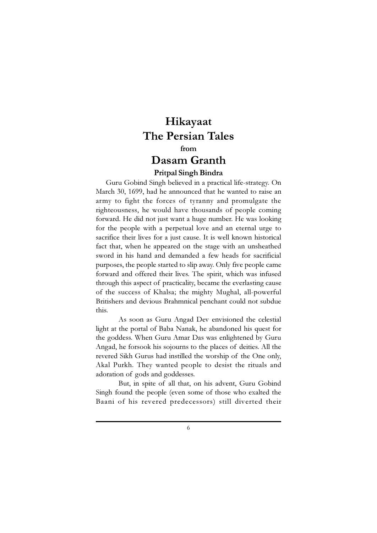### Hikayaat The Persian Tales from Dasam Granth

#### Pritpal Singh Bindra

Guru Gobind Singh believed in a practical life-strategy. On March 30, 1699, had he announced that he wanted to raise an army to fight the forces of tyranny and promulgate the righteousness, he would have thousands of people coming forward. He did not just want a huge number. He was looking for the people with a perpetual love and an eternal urge to sacrifice their lives for a just cause. It is well known historical fact that, when he appeared on the stage with an unsheathed sword in his hand and demanded a few heads for sacrificial purposes, the people started to slip away. Only five people came forward and offered their lives. The spirit, which was infused through this aspect of practicality, became the everlasting cause of the success of Khalsa; the mighty Mughal, all-powerful Britishers and devious Brahmnical penchant could not subdue this.

As soon as Guru Angad Dev envisioned the celestial light at the portal of Baba Nanak, he abandoned his quest for the goddess. When Guru Amar Das was enlightened by Guru Angad, he forsook his sojourns to the places of deities. All the revered Sikh Gurus had instilled the worship of the One only, Akal Purkh. They wanted people to desist the rituals and adoration of gods and goddesses.

But, in spite of all that, on his advent, Guru Gobind Singh found the people (even some of those who exalted the Baani of his revered predecessors) still diverted their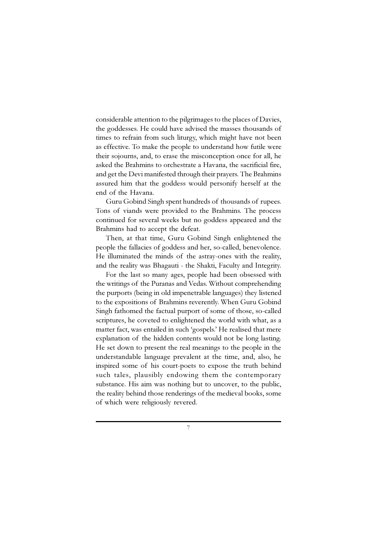considerable attention to the pilgrimages to the places of Davies, the goddesses. He could have advised the masses thousands of times to refrain from such liturgy, which might have not been as effective. To make the people to understand how futile were their sojourns, and, to erase the misconception once for all, he asked the Brahmins to orchestrate a Havana, the sacrificial fire, and get the Devi manifested through their prayers. The Brahmins assured him that the goddess would personify herself at the end of the Havana.

Guru Gobind Singh spent hundreds of thousands of rupees. Tons of viands were provided to the Brahmins. The process continued for several weeks but no goddess appeared and the Brahmins had to accept the defeat.

Then, at that time, Guru Gobind Singh enlightened the people the fallacies of goddess and her, so-called, benevolence. He illuminated the minds of the astray-ones with the reality, and the reality was Bhagauti - the Shakti, Faculty and Integrity.

For the last so many ages, people had been obsessed with the writings of the Puranas and Vedas. Without comprehending the purports (being in old impenetrable languages) they listened to the expositions of Brahmins reverently. When Guru Gobind Singh fathomed the factual purport of some of those, so-called scriptures, he coveted to enlightened the world with what, as a matter fact, was entailed in such 'gospels.' He realised that mere explanation of the hidden contents would not be long lasting. He set down to present the real meanings to the people in the understandable language prevalent at the time, and, also, he inspired some of his court-poets to expose the truth behind such tales, plausibly endowing them the contemporary substance. His aim was nothing but to uncover, to the public, the reality behind those renderings of the medieval books, some of which were religiously revered.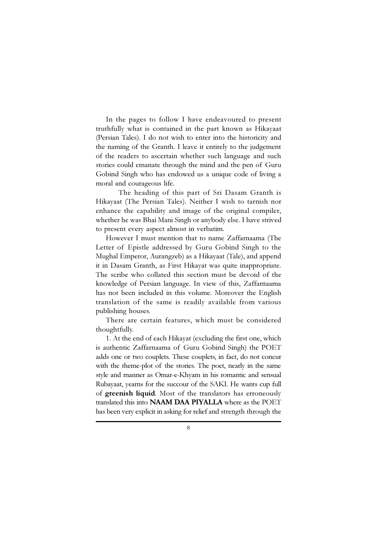In the pages to follow I have endeavoured to present truthfully what is contained in the part known as Hikayaat (Persian Tales). I do not wish to enter into the historicity and the naming of the Granth. I leave it entirely to the judgement of the readers to ascertain whether such language and such stories could emanate through the mind and the pen of Guru Gobind Singh who has endowed us a unique code of living a moral and courageous life.

The heading of this part of Sri Dasam Granth is Hikayaat (The Persian Tales). Neither I wish to tarnish nor enhance the capability and image of the original compiler, whether he was Bhai Mani Singh or anybody else. I have strived to present every aspect almost in verbatim.

However I must mention that to name Zaffarnaama (The Letter of Epistle addressed by Guru Gobind Singh to the Mughal Emperor, Aurangzeb) as a Hikayaat (Tale), and append it in Dasam Granth, as First Hikayat was quite inappropriate. The scribe who collated this section must be devoid of the knowledge of Persian language. In view of this, Zaffarnaama has not been included in this volume. Moreover the English translation of the same is readily available from various publishing houses.

There are certain features, which must be considered thoughtfully.

1. At the end of each Hikayat (excluding the first one, which is authentic Zaffarnaama of Guru Gobind Singh) the POET adds one or two couplets. These couplets, in fact, do not concur with the theme-plot of the stories. The poet, nearly in the same style and manner as Omar-e-Khyam in his romantic and sensual Rubayaat, yearns for the succour of the SAKI. He wants cup full of greenish liquid. Most of the translators has erroneously translated this into NAAM DAA PIYALLA where as the POET has been very explicit in asking for relief and strength through the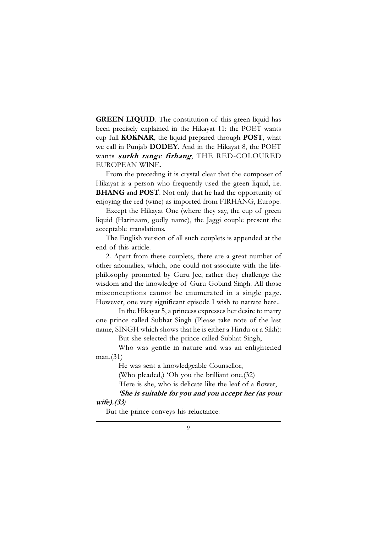GREEN LIQUID. The constitution of this green liquid has been precisely explained in the Hikayat 11: the POET wants cup full KOKNAR, the liquid prepared through POST, what we call in Punjab DODEY. And in the Hikayat 8, the POET wants surkh range firhang, THE RED-COLOURED EUROPEAN WINE.

From the preceding it is crystal clear that the composer of Hikayat is a person who frequently used the green liquid, i.e. **BHANG** and **POST**. Not only that he had the opportunity of enjoying the red (wine) as imported from FIRHANG, Europe.

Except the Hikayat One (where they say, the cup of green liquid (Harinaam, godly name), the Jaggi couple present the acceptable translations.

The English version of all such couplets is appended at the end of this article.

2. Apart from these couplets, there are a great number of other anomalies, which, one could not associate with the lifephilosophy promoted by Guru Jee, rather they challenge the wisdom and the knowledge of Guru Gobind Singh. All those misconceptions cannot be enumerated in a single page. However, one very significant episode I wish to narrate here..

In the Hikayat 5, a princess expresses her desire to marry one prince called Subhat Singh (Please take note of the last name, SINGH which shows that he is either a Hindu or a Sikh):

But she selected the prince called Subhat Singh,

Who was gentle in nature and was an enlightened man.(31)

He was sent a knowledgeable Counsellor,

(Who pleaded,) 'Oh you the brilliant one,(32)

'Here is she, who is delicate like the leaf of a flower,

#### 'She is suitable for you and you accept her (as your wife).(33)

But the prince conveys his reluctance: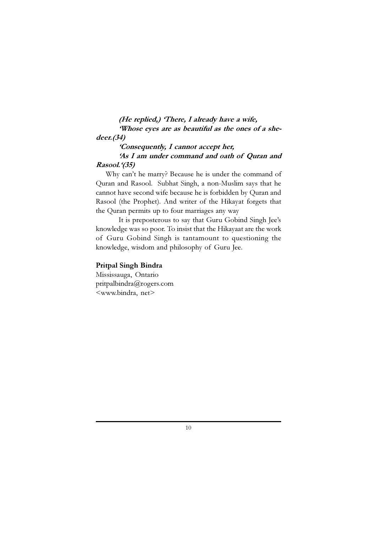### (He replied,) 'There, I already have a wife, 'Whose eyes are as beautiful as the ones of a she-

#### deer.(34)

'Consequently, I cannot accept her, 'As I am under command and oath of Quran and Rasool.'(35)

Why can't he marry? Because he is under the command of Quran and Rasool. Subhat Singh, a non-Muslim says that he cannot have second wife because he is forbidden by Quran and Rasool (the Prophet). And writer of the Hikayat forgets that the Quran permits up to four marriages any way

It is preposterous to say that Guru Gobind Singh Jee's knowledge was so poor. To insist that the Hikayaat are the work of Guru Gobind Singh is tantamount to questioning the knowledge, wisdom and philosophy of Guru Jee.

#### Pritpal Singh Bindra

Mississauga, Ontario pritpalbindra@rogers.com <www.bindra, net>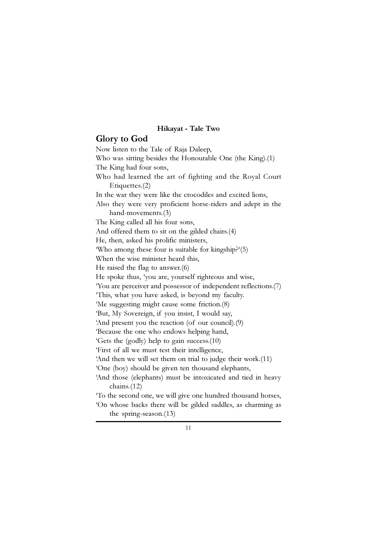#### Hikayat - Tale Two

#### Glory to God

Now listen to the Tale of Raja Daleep, Who was sitting besides the Honourable One (the King).(1) The King had four sons, Who had learned the art of fighting and the Royal Court Etiquettes.(2) In the war they were like the crocodiles and excited lions, Also they were very proficient horse-riders and adept in the hand-movements.(3) The King called all his four sons, And offered them to sit on the gilded chairs.(4) He, then, asked his prolific ministers, 'Who among these four is suitable for kingship?'(5) When the wise minister heard this, He raised the flag to answer.(6) He spoke thus, 'you are, yourself righteous and wise, 'You are perceiver and possessor of independent reflections.(7) 'This, what you have asked, is beyond my faculty. 'Me suggesting might cause some friction.(8) 'But, My Sovereign, if you insist, I would say, 'And present you the reaction (of our council).(9) 'Because the one who endows helping hand, 'Gets the (godly) help to gain success.(10) 'First of all we must test their intelligence, 'And then we will set them on trial to judge their work.(11) 'One (boy) should be given ten thousand elephants, 'And those (elephants) must be intoxicated and tied in heavy chains.(12) 'To the second one, we will give one hundred thousand horses, 'On whose backs there will be gilded saddles, as charming as the spring-season.(13)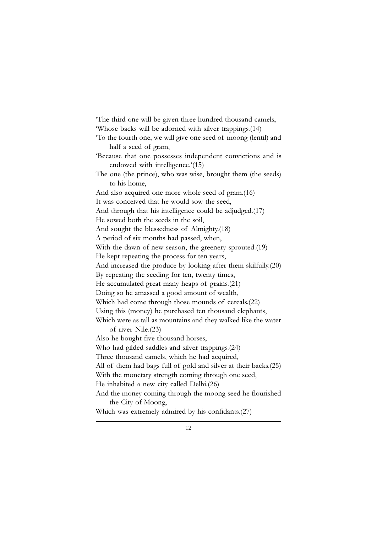'The third one will be given three hundred thousand camels, 'Whose backs will be adorned with silver trappings.(14) 'To the fourth one, we will give one seed of moong (lentil) and half a seed of gram, 'Because that one possesses independent convictions and is endowed with intelligence.'(15) The one (the prince), who was wise, brought them (the seeds) to his home, And also acquired one more whole seed of gram.(16) It was conceived that he would sow the seed, And through that his intelligence could be adjudged.(17) He sowed both the seeds in the soil, And sought the blessedness of Almighty.(18) A period of six months had passed, when, With the dawn of new season, the greenery sprouted.(19) He kept repeating the process for ten years, And increased the produce by looking after them skilfully.(20) By repeating the seeding for ten, twenty times, He accumulated great many heaps of grains.(21) Doing so he amassed a good amount of wealth, Which had come through those mounds of cereals.(22) Using this (money) he purchased ten thousand elephants, Which were as tall as mountains and they walked like the water of river Nile.(23) Also he bought five thousand horses, Who had gilded saddles and silver trappings.(24) Three thousand camels, which he had acquired, All of them had bags full of gold and silver at their backs.(25) With the monetary strength coming through one seed, He inhabited a new city called Delhi.(26) And the money coming through the moong seed he flourished the City of Moong, Which was extremely admired by his confidants.(27)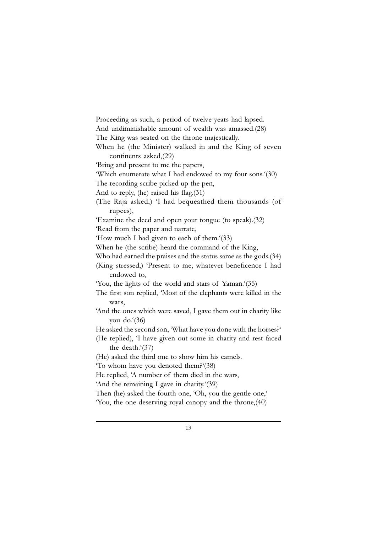Proceeding as such, a period of twelve years had lapsed. And undiminishable amount of wealth was amassed.(28) The King was seated on the throne majestically. When he (the Minister) walked in and the King of seven continents asked,(29) 'Bring and present to me the papers, 'Which enumerate what I had endowed to my four sons.'(30) The recording scribe picked up the pen, And to reply, (he) raised his flag.(31) (The Raja asked,) 'I had bequeathed them thousands (of rupees), 'Examine the deed and open your tongue (to speak).(32) 'Read from the paper and narrate, 'How much I had given to each of them.'(33) When he (the scribe) heard the command of the King, Who had earned the praises and the status same as the gods.(34) (King stressed,) 'Present to me, whatever beneficence I had endowed to, 'You, the lights of the world and stars of Yaman.'(35) The first son replied, 'Most of the elephants were killed in the wars, 'And the ones which were saved, I gave them out in charity like you do. $(36)$ He asked the second son, 'What have you done with the horses?' (He replied), 'I have given out some in charity and rest faced the death.'(37) (He) asked the third one to show him his camels. 'To whom have you denoted them?'(38) He replied, 'A number of them died in the wars, 'And the remaining I gave in charity.'(39) Then (he) asked the fourth one, 'Oh, you the gentle one,' 'You, the one deserving royal canopy and the throne,(40)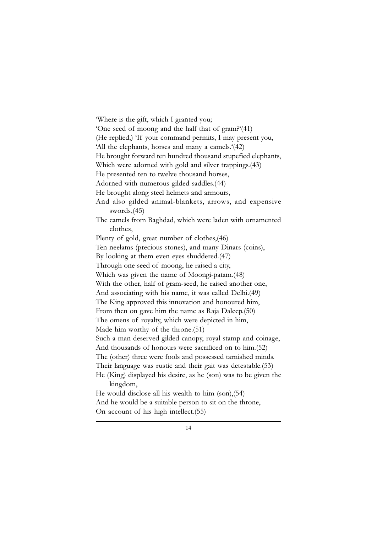'Where is the gift, which I granted you; 'One seed of moong and the half that of gram?'(41) (He replied,) 'If your command permits, I may present you, 'All the elephants, horses and many a camels.'(42) He brought forward ten hundred thousand stupefied elephants, Which were adorned with gold and silver trappings.(43) He presented ten to twelve thousand horses, Adorned with numerous gilded saddles.(44) He brought along steel helmets and armours, And also gilded animal-blankets, arrows, and expensive swords,(45) The camels from Baghdad, which were laden with ornamented clothes, Plenty of gold, great number of clothes,(46) Ten neelams (precious stones), and many Dinars (coins), By looking at them even eyes shuddered.(47) Through one seed of moong, he raised a city, Which was given the name of Moongi-patam.(48) With the other, half of gram-seed, he raised another one, And associating with his name, it was called Delhi.(49) The King approved this innovation and honoured him, From then on gave him the name as Raja Daleep.(50) The omens of royalty, which were depicted in him, Made him worthy of the throne.(51) Such a man deserved gilded canopy, royal stamp and coinage, And thousands of honours were sacrificed on to him.(52) The (other) three were fools and possessed tarnished minds. Their language was rustic and their gait was detestable.(53) He (King) displayed his desire, as he (son) was to be given the kingdom, He would disclose all his wealth to him (son),(54) And he would be a suitable person to sit on the throne,

On account of his high intellect.(55)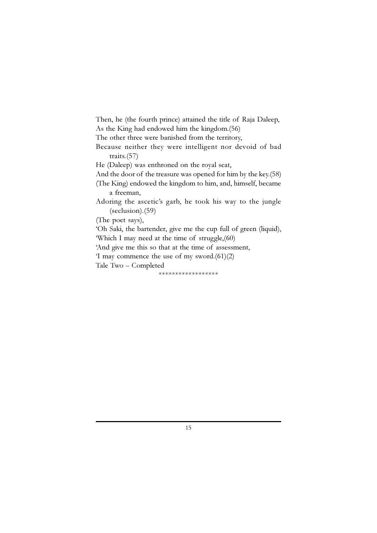Then, he (the fourth prince) attained the title of Raja Daleep, As the King had endowed him the kingdom.(56)

The other three were banished from the territory,

Because neither they were intelligent nor devoid of bad traits.(57)

He (Daleep) was enthroned on the royal seat,

And the door of the treasure was opened for him by the key.(58)

(The King) endowed the kingdom to him, and, himself, became a freeman,

Adoring the ascetic's garb, he took his way to the jungle (seclusion).(59)

(The poet says),

'Oh Saki, the bartender, give me the cup full of green (liquid), 'Which I may need at the time of struggle,(60)

'And give me this so that at the time of assessment,

'I may commence the use of my sword.(61)(2)

Tale Two – Completed

\*\*\*\*\*\*\*\*\*\*\*\*\*\*\*\*\*\*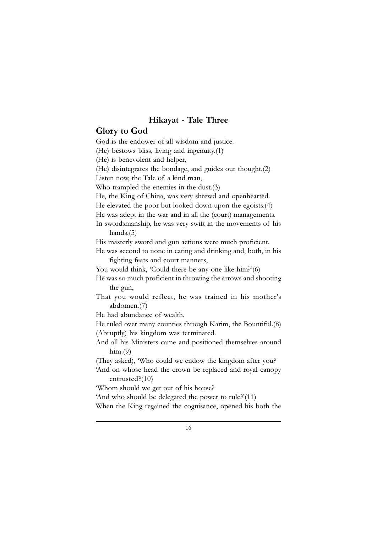#### Hikayat - Tale Three

Glory to God God is the endower of all wisdom and justice. (He) bestows bliss, living and ingenuity.(1) (He) is benevolent and helper, (He) disintegrates the bondage, and guides our thought.(2) Listen now, the Tale of a kind man, Who trampled the enemies in the dust.(3) He, the King of China, was very shrewd and openhearted. He elevated the poor but looked down upon the egoists.(4) He was adept in the war and in all the (court) managements. In swordsmanship, he was very swift in the movements of his hands.(5) His masterly sword and gun actions were much proficient. He was second to none in eating and drinking and, both, in his fighting feats and court manners, You would think, 'Could there be any one like him?'(6) He was so much proficient in throwing the arrows and shooting the gun, That you would reflect, he was trained in his mother's abdomen.(7) He had abundance of wealth. He ruled over many counties through Karim, the Bountiful.(8) (Abruptly) his kingdom was terminated. And all his Ministers came and positioned themselves around  $him.(9)$ (They asked), 'Who could we endow the kingdom after you? 'And on whose head the crown be replaced and royal canopy entrusted?(10)

'Whom should we get out of his house?

'And who should be delegated the power to rule?'(11)

When the King regained the cognisance, opened his both the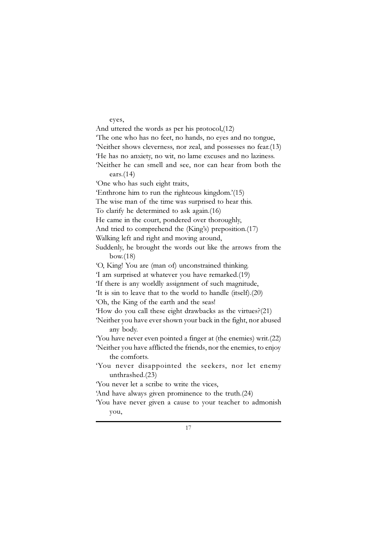eyes,

And uttered the words as per his protocol,(12) 'The one who has no feet, no hands, no eyes and no tongue, 'Neither shows cleverness, nor zeal, and possesses no fear.(13) 'He has no anxiety, no wit, no lame excuses and no laziness. 'Neither he can smell and see, nor can hear from both the ears.(14) 'One who has such eight traits, 'Enthrone him to run the righteous kingdom.'(15) The wise man of the time was surprised to hear this. To clarify he determined to ask again.(16) He came in the court, pondered over thoroughly, And tried to comprehend the (King's) preposition.(17) Walking left and right and moving around, Suddenly, he brought the words out like the arrows from the bow.(18) 'O, King! You are (man of) unconstrained thinking. 'I am surprised at whatever you have remarked.(19) 'If there is any worldly assignment of such magnitude, 'It is sin to leave that to the world to handle (itself).(20) 'Oh, the King of the earth and the seas! 'How do you call these eight drawbacks as the virtues?(21) 'Neither you have ever shown your back in the fight, nor abused any body. 'You have never even pointed a finger at (the enemies) writ.(22) 'Neither you have afflicted the friends, nor the enemies, to enjoy the comforts. 'You never disappointed the seekers, nor let enemy unthrashed.(23) 'You never let a scribe to write the vices, 'And have always given prominence to the truth.(24) 'You have never given a cause to your teacher to admonish you,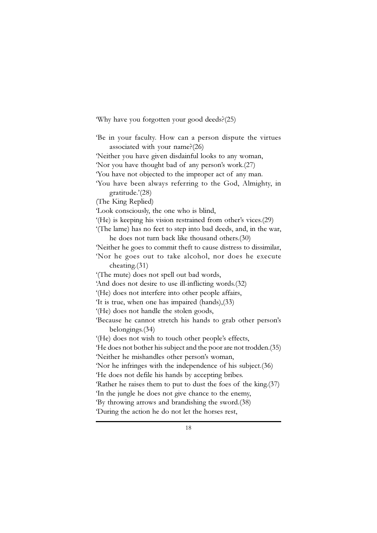'Why have you forgotten your good deeds?(25)

'Be in your faculty. How can a person dispute the virtues associated with your name?(26) 'Neither you have given disdainful looks to any woman, 'Nor you have thought bad of any person's work.(27) 'You have not objected to the improper act of any man. 'You have been always referring to the God, Almighty, in gratitude.'(28) (The King Replied) 'Look consciously, the one who is blind, '(He) is keeping his vision restrained from other's vices.(29) '(The lame) has no feet to step into bad deeds, and, in the war, he does not turn back like thousand others.(30) 'Neither he goes to commit theft to cause distress to dissimilar, 'Nor he goes out to take alcohol, nor does he execute cheating.(31) '(The mute) does not spell out bad words, 'And does not desire to use ill-inflicting words.(32) '(He) does not interfere into other people affairs, 'It is true, when one has impaired (hands),(33) '(He) does not handle the stolen goods, 'Because he cannot stretch his hands to grab other person's belongings.(34) '(He) does not wish to touch other people's effects, 'He does not bother his subject and the poor are not trodden.(35) 'Neither he mishandles other person's woman, 'Nor he infringes with the independence of his subject.(36) 'He does not defile his hands by accepting bribes. 'Rather he raises them to put to dust the foes of the king.(37) 'In the jungle he does not give chance to the enemy, 'By throwing arrows and brandishing the sword.(38) 'During the action he do not let the horses rest,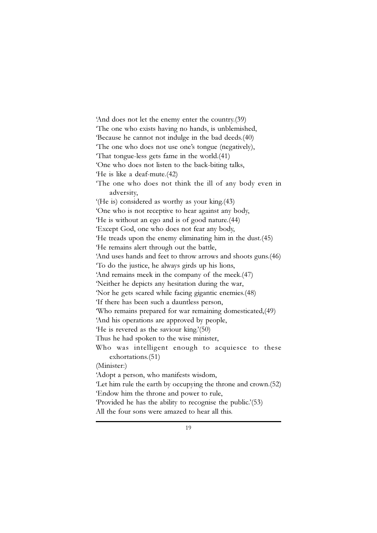'And does not let the enemy enter the country.(39) 'The one who exists having no hands, is unblemished, 'Because he cannot not indulge in the bad deeds.(40) 'The one who does not use one's tongue (negatively), 'That tongue-less gets fame in the world.(41) 'One who does not listen to the back-biting talks, 'He is like a deaf-mute.(42) 'The one who does not think the ill of any body even in adversity, '(He is) considered as worthy as your king.(43) 'One who is not receptive to hear against any body, 'He is without an ego and is of good nature.(44) 'Except God, one who does not fear any body, 'He treads upon the enemy eliminating him in the dust.(45) 'He remains alert through out the battle, 'And uses hands and feet to throw arrows and shoots guns.(46) 'To do the justice, he always girds up his lions, 'And remains meek in the company of the meek.(47) 'Neither he depicts any hesitation during the war, 'Nor he gets scared while facing gigantic enemies.(48) 'If there has been such a dauntless person, 'Who remains prepared for war remaining domesticated,(49) 'And his operations are approved by people, 'He is revered as the saviour king.'(50) Thus he had spoken to the wise minister, Who was intelligent enough to acquiesce to these exhortations.(51) (Minister:) 'Adopt a person, who manifests wisdom, 'Let him rule the earth by occupying the throne and crown.(52) 'Endow him the throne and power to rule, 'Provided he has the ability to recognise the public.'(53) All the four sons were amazed to hear all this.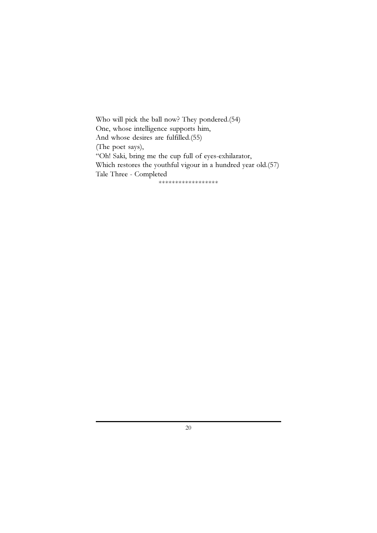Who will pick the ball now? They pondered.(54) One, whose intelligence supports him, And whose desires are fulfilled.(55) (The poet says), "Oh! Saki, bring me the cup full of eyes-exhilarator, Which restores the youthful vigour in a hundred year old.(57) Tale Three - Completed

\*\*\*\*\*\*\*\*\*\*\*\*\*\*\*\*\*\*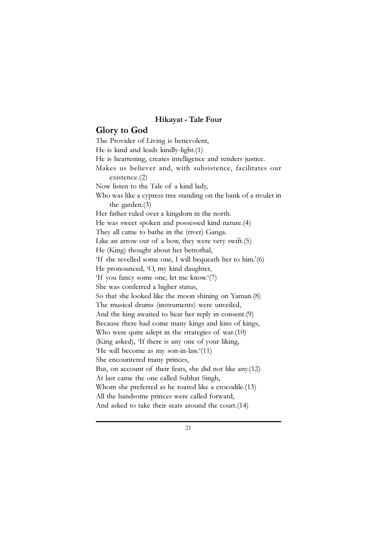#### Hikayat - Tale Four

#### Glory to God

The Provider of Living is benevolent, He is kind and leads kindly-light.(1) He is heartening, creates intelligence and renders justice. Makes us believer and, with subsistence, facilitates our existence.(2) Now listen to the Tale of a kind lady, Who was like a cypress tree standing on the bank of a rivulet in the garden.(3) Her father ruled over a kingdom in the north. He was sweet spoken and possessed kind nature.(4) They all came to bathe in the (river) Ganga. Like an arrow out of a bow, they were very swift.(5) He (King) thought about her betrothal, 'If she revelled some one, I will bequeath her to him.'(6) He pronounced, 'O, my kind daughter, 'If you fancy some one, let me know.'(7) She was conferred a higher status, So that she looked like the moon shining on Yaman.(8) The musical drums (instruments) were unveiled, And the king awaited to hear her reply in consent.(9) Because there had come many kings and kins of kings, Who were quite adept in the strategies of war.(10) (King asked), 'If there is any one of your liking, 'He will become as my son-in-law.'(11) She encountered many princes, But, on account of their feats, she did not like any.(12) At last came the one called Subhat Singh, Whom she preferred as he roared like a crocodile.(13) All the handsome princes were called forward, And asked to take their seats around the court.(14)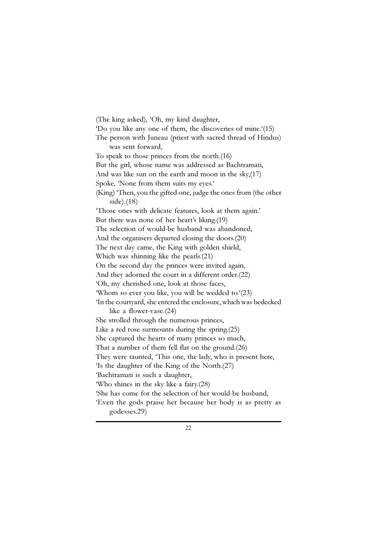(The king asked), 'Oh, my kind daughter, 'Do you like any one of them, the discoveries of mine.'(15) The person with Juneau (priest with sacred thread of Hindus) was sent forward, To speak to those princes from the north.(16) But the girl, whose name was addressed as Bachtramati, And was like sun on the earth and moon in the sky,(17) Spoke, 'None from them suits my eyes.' (King) 'Then, you the gifted one, judge the ones from (the other side).(18) 'Those ones with delicate features, look at them again.' But there was none of her heart's liking.(19) The selection of would-be husband was abandoned, And the organisers departed closing the doors.(20) The next day came, the King with golden shield, Which was shinning like the pearls.(21) On the second day the princes were invited again, And they adorned the court in a different order.(22) 'Oh, my cherished one, look at those faces, 'Whom so ever you like, you will be wedded to.'(23) 'In the courtyard, she entered the enclosure, which was bedecked like a flower-vase.(24) She strolled through the numerous princes, Like a red rose surmounts during the spring.(25) She captured the hearts of many princes so much, That a number of them fell flat on the ground.(26) They were taunted, 'This one, the lady, who is present here, 'Is the daughter of the King of the North.(27) 'Bachtramati is such a daughter, 'Who shines in the sky like a fairy.(28) 'She has come for the selection of her would-be husband, 'Even the gods praise her because her body is as pretty as godesses.29)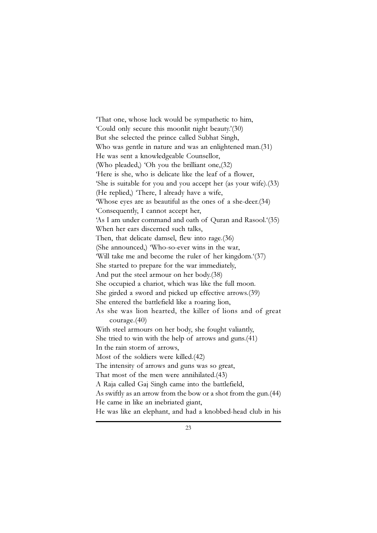'That one, whose luck would be sympathetic to him, 'Could only secure this moonlit night beauty.'(30) But she selected the prince called Subhat Singh, Who was gentle in nature and was an enlightened man.(31) He was sent a knowledgeable Counsellor, (Who pleaded,) 'Oh you the brilliant one,(32) 'Here is she, who is delicate like the leaf of a flower, 'She is suitable for you and you accept her (as your wife).(33) (He replied,) 'There, I already have a wife, 'Whose eyes are as beautiful as the ones of a she-deer.(34) 'Consequently, I cannot accept her, 'As I am under command and oath of Quran and Rasool.'(35) When her ears discerned such talks, Then, that delicate damsel, flew into rage.(36) (She announced,) 'Who-so-ever wins in the war, 'Will take me and become the ruler of her kingdom.'(37) She started to prepare for the war immediately, And put the steel armour on her body.(38) She occupied a chariot, which was like the full moon. She girded a sword and picked up effective arrows.(39) She entered the battlefield like a roaring lion, As she was lion hearted, the killer of lions and of great courage.(40) With steel armours on her body, she fought valiantly, She tried to win with the help of arrows and guns.(41) In the rain storm of arrows, Most of the soldiers were killed.(42) The intensity of arrows and guns was so great, That most of the men were annihilated.(43) A Raja called Gaj Singh came into the battlefield, As swiftly as an arrow from the bow or a shot from the gun.(44) He came in like an inebriated giant, He was like an elephant, and had a knobbed-head club in his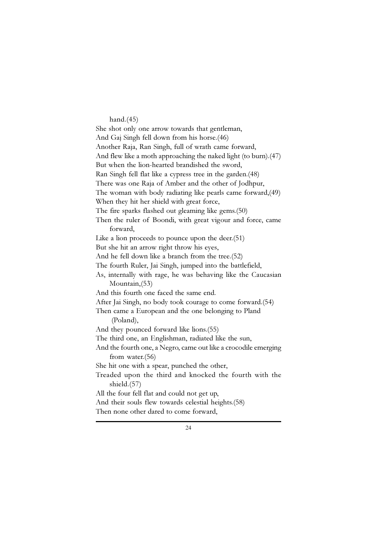#### hand.(45)

She shot only one arrow towards that gentleman, And Gaj Singh fell down from his horse.(46) Another Raja, Ran Singh, full of wrath came forward, And flew like a moth approaching the naked light (to burn).(47) But when the lion-hearted brandished the sword, Ran Singh fell flat like a cypress tree in the garden.(48) There was one Raja of Amber and the other of Jodhpur, The woman with body radiating like pearls came forward,(49) When they hit her shield with great force, The fire sparks flashed out gleaming like gems.(50) Then the ruler of Boondi, with great vigour and force, came forward, Like a lion proceeds to pounce upon the deer.(51) But she hit an arrow right throw his eyes, And he fell down like a branch from the tree.(52) The fourth Ruler, Jai Singh, jumped into the battlefield, As, internally with rage, he was behaving like the Caucasian Mountain,(53) And this fourth one faced the same end. After Jai Singh, no body took courage to come forward.(54) Then came a European and the one belonging to Pland (Poland), And they pounced forward like lions.(55) The third one, an Englishman, radiated like the sun, And the fourth one, a Negro, came out like a crocodile emerging from water.(56) She hit one with a spear, punched the other, Treaded upon the third and knocked the fourth with the shield.(57) All the four fell flat and could not get up, And their souls flew towards celestial heights.(58) Then none other dared to come forward,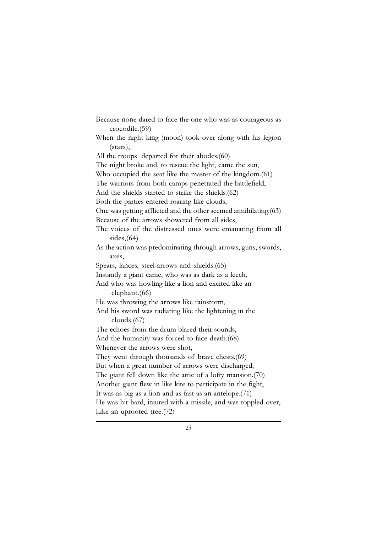Because none dared to face the one who was as courageous as crocodile.(59) When the night king (moon) took over along with his legion (stars), All the troops departed for their abodes.(60) The night broke and, to rescue the light, came the sun, Who occupied the seat like the master of the kingdom.(61) The warriors from both camps penetrated the battlefield, And the shields started to strike the shields.(62) Both the parties entered roaring like clouds, One was getting afflicted and the other seemed annihilating.(63) Because of the arrows showered from all sides, The voices of the distressed ones were emanating from all sides,(64) As the action was predominating through arrows, guns, swords, axes, Spears, lances, steel-arrows and shields.(65) Instantly a giant came, who was as dark as a leech, And who was howling like a lion and excited like an elephant.(66) He was throwing the arrows like rainstorm, And his sword was radiating like the lightening in the clouds.(67) The echoes from the drum blared their sounds, And the humanity was forced to face death.(68) Whenever the arrows were shot, They went through thousands of brave chests.(69) But when a great number of arrows were discharged, The giant fell down like the attic of a lofty mansion.(70) Another giant flew in like kite to participate in the fight, It was as big as a lion and as fast as an antelope.(71) He was hit hard, injured with a missile, and was toppled over, Like an uprooted tree.(72)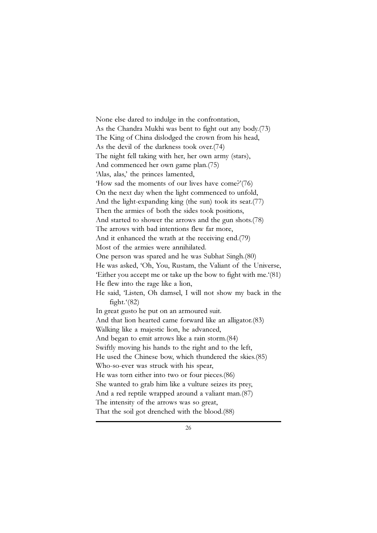None else dared to indulge in the confrontation, As the Chandra Mukhi was bent to fight out any body.(73) The King of China dislodged the crown from his head, As the devil of the darkness took over.(74) The night fell taking with her, her own army (stars), And commenced her own game plan.(75) 'Alas, alas,' the princes lamented, 'How sad the moments of our lives have come?'(76) On the next day when the light commenced to unfold, And the light-expanding king (the sun) took its seat.(77) Then the armies of both the sides took positions, And started to shower the arrows and the gun shots.(78) The arrows with bad intentions flew far more, And it enhanced the wrath at the receiving end.(79) Most of the armies were annihilated. One person was spared and he was Subhat Singh.(80) He was asked, 'Oh, You, Rustam, the Valiant of the Universe, 'Either you accept me or take up the bow to fight with me.'(81) He flew into the rage like a lion, He said, 'Listen, Oh damsel, I will not show my back in the fight. $(82)$ In great gusto he put on an armoured suit. And that lion hearted came forward like an alligator.(83) Walking like a majestic lion, he advanced, And began to emit arrows like a rain storm.(84) Swiftly moving his hands to the right and to the left, He used the Chinese bow, which thundered the skies.(85) Who-so-ever was struck with his spear, He was torn either into two or four pieces.(86) She wanted to grab him like a vulture seizes its prey, And a red reptile wrapped around a valiant man.(87) The intensity of the arrows was so great, That the soil got drenched with the blood.(88)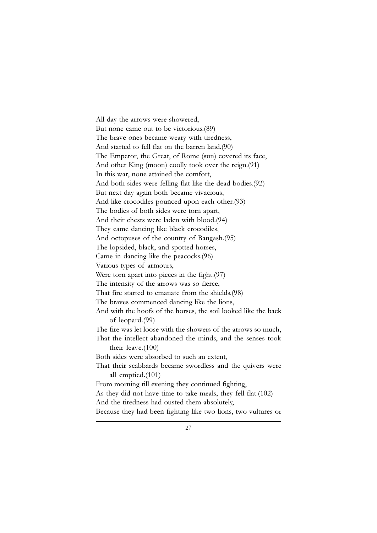All day the arrows were showered, But none came out to be victorious.(89) The brave ones became weary with tiredness, And started to fell flat on the barren land.(90) The Emperor, the Great, of Rome (sun) covered its face, And other King (moon) coolly took over the reign.(91) In this war, none attained the comfort, And both sides were felling flat like the dead bodies.(92) But next day again both became vivacious, And like crocodiles pounced upon each other.(93) The bodies of both sides were torn apart, And their chests were laden with blood.(94) They came dancing like black crocodiles, And octopuses of the country of Bangash.(95) The lopsided, black, and spotted horses, Came in dancing like the peacocks.(96) Various types of armours, Were torn apart into pieces in the fight.(97) The intensity of the arrows was so fierce, That fire started to emanate from the shields.(98) The braves commenced dancing like the lions, And with the hoofs of the horses, the soil looked like the back of leopard.(99) The fire was let loose with the showers of the arrows so much, That the intellect abandoned the minds, and the senses took their leave.(100) Both sides were absorbed to such an extent, That their scabbards became swordless and the quivers were all emptied.(101) From morning till evening they continued fighting, As they did not have time to take meals, they fell flat.(102) And the tiredness had ousted them absolutely, Because they had been fighting like two lions, two vultures or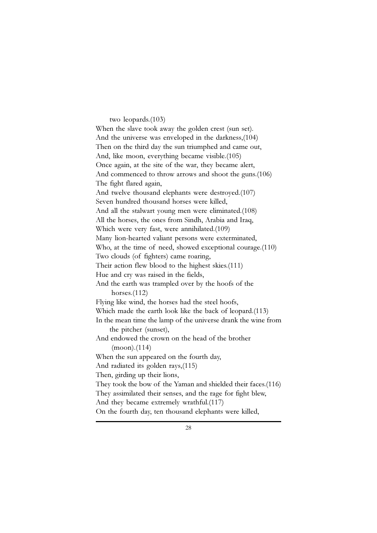#### two leopards.(103)

When the slave took away the golden crest (sun set). And the universe was enveloped in the darkness,(104) Then on the third day the sun triumphed and came out, And, like moon, everything became visible.(105) Once again, at the site of the war, they became alert, And commenced to throw arrows and shoot the guns.(106) The fight flared again, And twelve thousand elephants were destroyed.(107) Seven hundred thousand horses were killed, And all the stalwart young men were eliminated.(108) All the horses, the ones from Sindh, Arabia and Iraq, Which were very fast, were annihilated.(109) Many lion-hearted valiant persons were exterminated, Who, at the time of need, showed exceptional courage.(110) Two clouds (of fighters) came roaring, Their action flew blood to the highest skies.(111) Hue and cry was raised in the fields, And the earth was trampled over by the hoofs of the horses.(112) Flying like wind, the horses had the steel hoofs, Which made the earth look like the back of leopard.(113) In the mean time the lamp of the universe drank the wine from the pitcher (sunset), And endowed the crown on the head of the brother (moon).(114) When the sun appeared on the fourth day, And radiated its golden rays,(115) Then, girding up their lions, They took the bow of the Yaman and shielded their faces.(116) They assimilated their senses, and the rage for fight blew, And they became extremely wrathful.(117) On the fourth day, ten thousand elephants were killed,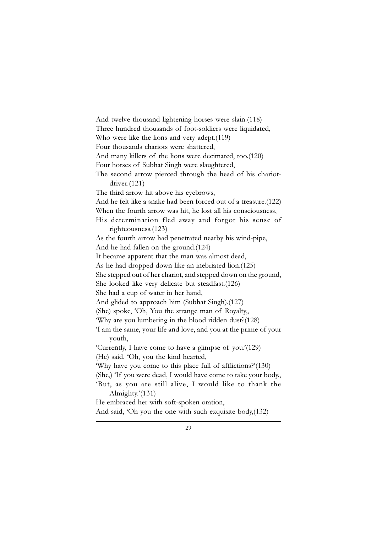And twelve thousand lightening horses were slain.(118) Three hundred thousands of foot-soldiers were liquidated, Who were like the lions and very adept.(119) Four thousands chariots were shattered, And many killers of the lions were decimated, too.(120) Four horses of Subhat Singh were slaughtered, The second arrow pierced through the head of his chariotdriver.(121) The third arrow hit above his eyebrows, And he felt like a snake had been forced out of a treasure.(122) When the fourth arrow was hit, he lost all his consciousness, His determination fled away and forgot his sense of righteousness.(123) As the fourth arrow had penetrated nearby his wind-pipe, And he had fallen on the ground.(124) It became apparent that the man was almost dead, As he had dropped down like an inebriated lion.(125) She stepped out of her chariot, and stepped down on the ground, She looked like very delicate but steadfast.(126) She had a cup of water in her hand, And glided to approach him (Subhat Singh).(127) (She) spoke, 'Oh, You the strange man of Royalty,, 'Why are you lumbering in the blood ridden dust?(128) 'I am the same, your life and love, and you at the prime of your youth, 'Currently, I have come to have a glimpse of you.'(129) (He) said, 'Oh, you the kind hearted, 'Why have you come to this place full of afflictions?'(130) (She,) 'If you were dead, I would have come to take your body., 'But, as you are still alive, I would like to thank the Almighty.'(131) He embraced her with soft-spoken oration, And said, 'Oh you the one with such exquisite body,(132)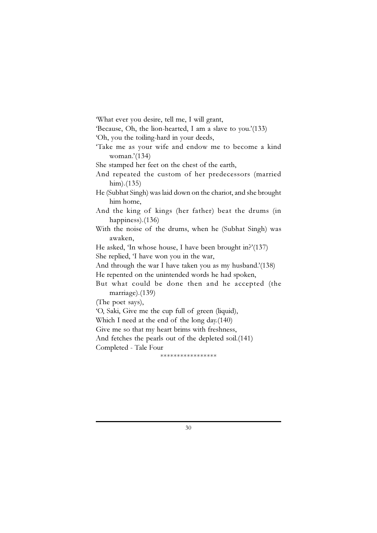'What ever you desire, tell me, I will grant,

'Because, Oh, the lion-hearted, I am a slave to you.'(133)

'Oh, you the toiling-hard in your deeds,

'Take me as your wife and endow me to become a kind woman.'(134)

She stamped her feet on the chest of the earth,

And repeated the custom of her predecessors (married him).(135)

He (Subhat Singh) was laid down on the chariot, and she brought him home,

And the king of kings (her father) beat the drums (in happiness).(136)

With the noise of the drums, when he (Subhat Singh) was awaken,

He asked, 'In whose house, I have been brought in?'(137)

She replied, 'I have won you in the war,

And through the war I have taken you as my husband.'(138) He repented on the unintended words he had spoken,

But what could be done then and he accepted (the

marriage).(139)

(The poet says),

'O, Saki, Give me the cup full of green (liquid),

Which I need at the end of the long day.(140)

Give me so that my heart brims with freshness,

And fetches the pearls out of the depleted soil.(141)

Completed - Tale Four

\*\*\*\*\*\*\*\*\*\*\*\*\*\*\*\*\*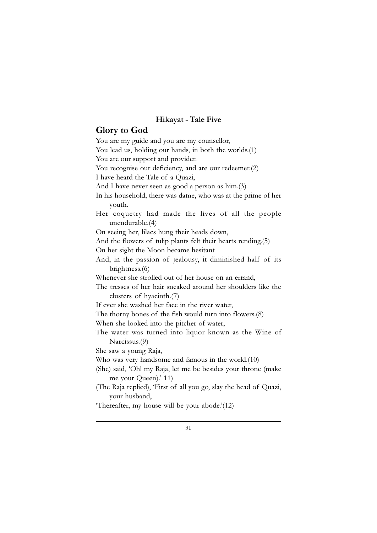#### Hikayat - Tale Five

#### Glory to God

You are my guide and you are my counsellor, You lead us, holding our hands, in both the worlds.<sup>(1)</sup> You are our support and provider. You recognise our deficiency, and are our redeemer.(2) I have heard the Tale of a Quazi, And I have never seen as good a person as him.(3) In his household, there was dame, who was at the prime of her youth. Her coquetry had made the lives of all the people unendurable.(4) On seeing her, lilacs hung their heads down, And the flowers of tulip plants felt their hearts rending.(5) On her sight the Moon became hesitant And, in the passion of jealousy, it diminished half of its brightness.(6) Whenever she strolled out of her house on an errand, The tresses of her hair sneaked around her shoulders like the clusters of hyacinth.(7) If ever she washed her face in the river water, The thorny bones of the fish would turn into flowers.(8) When she looked into the pitcher of water, The water was turned into liquor known as the Wine of Narcissus.(9) She saw a young Raja, Who was very handsome and famous in the world.(10) (She) said, 'Oh! my Raja, let me be besides your throne (make me your Queen).' 11) (The Raja replied), 'First of all you go, slay the head of Quazi, your husband,

'Thereafter, my house will be your abode.'(12)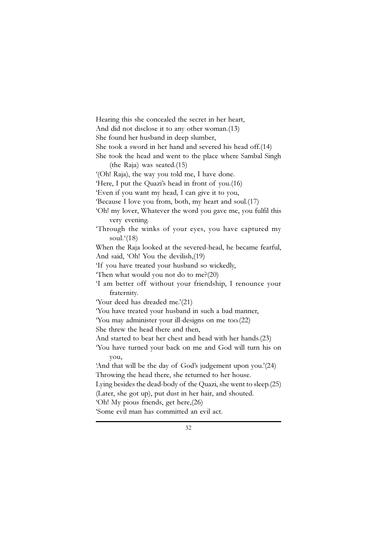Hearing this she concealed the secret in her heart, And did not disclose it to any other woman.(13) She found her husband in deep slumber, She took a sword in her hand and severed his head off.(14) She took the head and went to the place where Sambal Singh (the Raja) was seated.(15) '(Oh! Raja), the way you told me, I have done. 'Here, I put the Quazi's head in front of you.(16) 'Even if you want my head, I can give it to you, 'Because I love you from, both, my heart and soul.(17) 'Oh! my lover, Whatever the word you gave me, you fulfil this very evening. 'Through the winks of your eyes, you have captured my soul. $(18)$ When the Raja looked at the severed-head, he became fearful, And said, 'Oh! You the devilish,(19) 'If you have treated your husband so wickedly, 'Then what would you not do to me?(20) 'I am better off without your friendship, I renounce your fraternity. 'Your deed has dreaded me.'(21) 'You have treated your husband in such a bad manner, 'You may administer your ill-designs on me too.(22) She threw the head there and then, And started to beat her chest and head with her hands.(23) 'You have turned your back on me and God will turn his on you, 'And that will be the day of God's judgement upon you.'(24) Throwing the head there, she returned to her house. Lying besides the dead-body of the Quazi, she went to sleep.(25) (Later, she got up), put dust in her hair, and shouted. 'Oh! My pious friends, get here,(26) 'Some evil man has committed an evil act.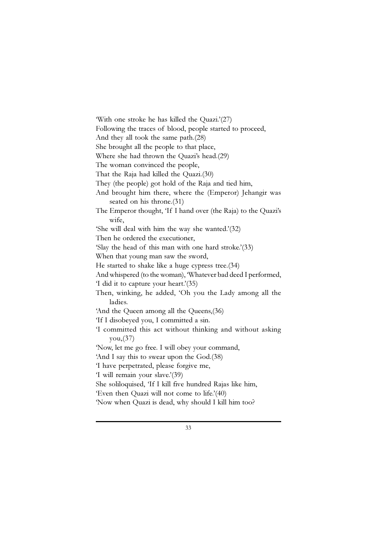'With one stroke he has killed the Quazi.'(27) Following the traces of blood, people started to proceed, And they all took the same path.(28) She brought all the people to that place, Where she had thrown the Quazi's head.(29) The woman convinced the people, That the Raja had killed the Quazi.(30) They (the people) got hold of the Raja and tied him, And brought him there, where the (Emperor) Jehangir was seated on his throne.(31) The Emperor thought, 'If I hand over (the Raja) to the Quazi's wife, 'She will deal with him the way she wanted.'(32) Then he ordered the executioner, 'Slay the head of this man with one hard stroke.'(33) When that young man saw the sword, He started to shake like a huge cypress tree.(34) And whispered (to the woman), 'Whatever bad deed I performed, 'I did it to capture your heart.'(35) Then, winking, he added, 'Oh you the Lady among all the ladies. 'And the Queen among all the Queens,(36) 'If I disobeyed you, I committed a sin. 'I committed this act without thinking and without asking you,(37) 'Now, let me go free. I will obey your command, 'And I say this to swear upon the God.(38) 'I have perpetrated, please forgive me, 'I will remain your slave.'(39) She soliloquised, 'If I kill five hundred Rajas like him, 'Even then Quazi will not come to life.'(40) 'Now when Quazi is dead, why should I kill him too?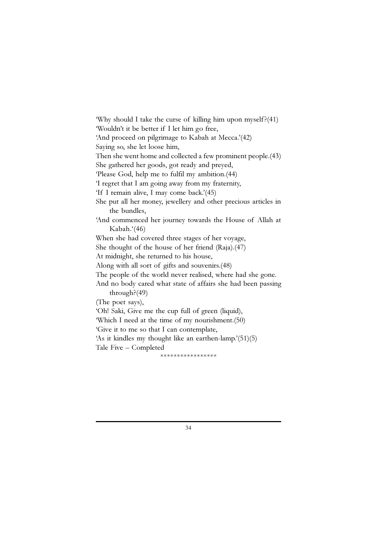'Why should I take the curse of killing him upon myself?(41) 'Wouldn't it be better if I let him go free, 'And proceed on pilgrimage to Kabah at Mecca.'(42) Saying so, she let loose him, Then she went home and collected a few prominent people.(43) She gathered her goods, got ready and preyed, 'Please God, help me to fulfil my ambition.(44) 'I regret that I am going away from my fraternity, 'If I remain alive, I may come back.'(45) She put all her money, jewellery and other precious articles in the bundles, 'And commenced her journey towards the House of Allah at Kabah.'(46) When she had covered three stages of her voyage, She thought of the house of her friend (Raja).(47) At midnight, she returned to his house, Along with all sort of gifts and souvenirs.(48) The people of the world never realised, where had she gone. And no body cared what state of affairs she had been passing through?(49) (The poet says), 'Oh! Saki, Give me the cup full of green (liquid), 'Which I need at the time of my nourishment.(50) 'Give it to me so that I can contemplate, 'As it kindles my thought like an earthen-lamp.'(51)(5) Tale Five – Completed \*\*\*\*\*\*\*\*\*\*\*\*\*\*\*\*\*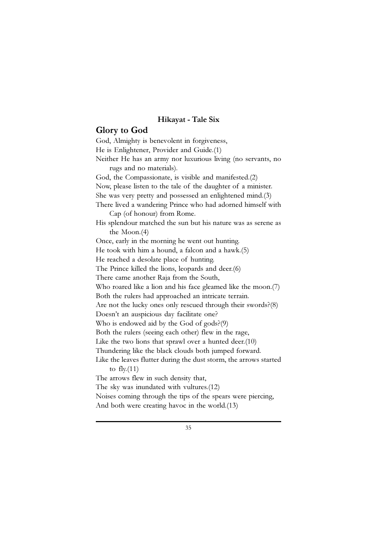#### Hikayat - Tale Six

#### Glory to God

God, Almighty is benevolent in forgiveness, He is Enlightener, Provider and Guide.(1) Neither He has an army nor luxurious living (no servants, no rugs and no materials). God, the Compassionate, is visible and manifested.(2) Now, please listen to the tale of the daughter of a minister. She was very pretty and possessed an enlightened mind.(3) There lived a wandering Prince who had adorned himself with Cap (of honour) from Rome. His splendour matched the sun but his nature was as serene as the Moon.(4) Once, early in the morning he went out hunting. He took with him a hound, a falcon and a hawk.(5) He reached a desolate place of hunting. The Prince killed the lions, leopards and deer.(6) There came another Raja from the South, Who roared like a lion and his face gleamed like the moon.(7) Both the rulers had approached an intricate terrain. Are not the lucky ones only rescued through their swords?(8) Doesn't an auspicious day facilitate one? Who is endowed aid by the God of gods?(9) Both the rulers (seeing each other) flew in the rage, Like the two lions that sprawl over a hunted deer.(10) Thundering like the black clouds both jumped forward. Like the leaves flutter during the dust storm, the arrows started to  $fly(11)$ The arrows flew in such density that, The sky was inundated with vultures.(12) Noises coming through the tips of the spears were piercing, And both were creating havoc in the world.(13)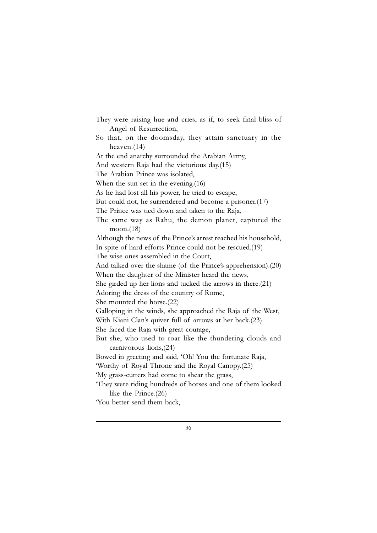They were raising hue and cries, as if, to seek final bliss of Angel of Resurrection, So that, on the doomsday, they attain sanctuary in the heaven.(14) At the end anarchy surrounded the Arabian Army, And western Raja had the victorious day.(15) The Arabian Prince was isolated, When the sun set in the evening.(16) As he had lost all his power, he tried to escape, But could not, he surrendered and become a prisoner.(17) The Prince was tied down and taken to the Raja, The same way as Rahu, the demon planet, captured the moon.(18) Although the news of the Prince's arrest reached his household, In spite of hard efforts Prince could not be rescued.(19) The wise ones assembled in the Court, And talked over the shame (of the Prince's apprehension).(20) When the daughter of the Minister heard the news, She girded up her lions and tucked the arrows in there.(21) Adoring the dress of the country of Rome, She mounted the horse.(22) Galloping in the winds, she approached the Raja of the West, With Kiani Clan's quiver full of arrows at her back.(23) She faced the Raja with great courage, But she, who used to roar like the thundering clouds and carnivorous lions,(24) Bowed in greeting and said, 'Oh! You the fortunate Raja, 'Worthy of Royal Throne and the Royal Canopy.(25) 'My grass-cutters had come to shear the grass, 'They were riding hundreds of horses and one of them looked like the Prince.(26) 'You better send them back,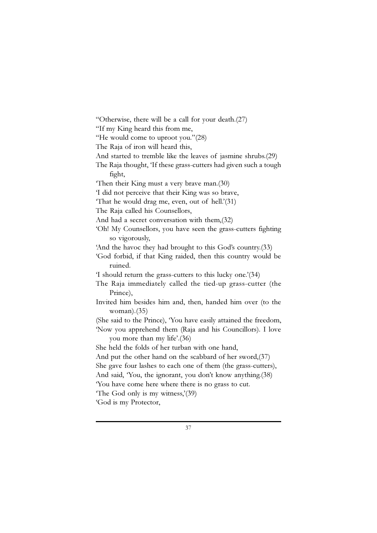"Otherwise, there will be a call for your death.(27) "If my King heard this from me, "He would come to uproot you."(28) The Raja of iron will heard this, And started to tremble like the leaves of jasmine shrubs.(29) The Raja thought, 'If these grass-cutters had given such a tough fight, 'Then their King must a very brave man.(30) 'I did not perceive that their King was so brave, 'That he would drag me, even, out of hell.'(31) The Raja called his Counsellors, And had a secret conversation with them,(32) 'Oh! My Counsellors, you have seen the grass-cutters fighting so vigorously, 'And the havoc they had brought to this God's country.(33) 'God forbid, if that King raided, then this country would be ruined. 'I should return the grass-cutters to this lucky one.'(34) The Raja immediately called the tied-up grass-cutter (the Prince), Invited him besides him and, then, handed him over (to the woman).(35) (She said to the Prince), 'You have easily attained the freedom, 'Now you apprehend them (Raja and his Councillors). I love you more than my life'.(36) She held the folds of her turban with one hand, And put the other hand on the scabbard of her sword,(37) She gave four lashes to each one of them (the grass-cutters), And said, 'You, the ignorant, you don't know anything.(38) 'You have come here where there is no grass to cut. 'The God only is my witness,'(39) 'God is my Protector,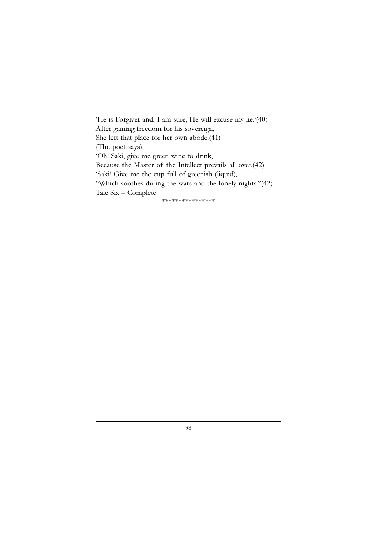'He is Forgiver and, I am sure, He will excuse my lie.'(40) After gaining freedom for his sovereign, She left that place for her own abode.(41) (The poet says), 'Oh! Saki, give me green wine to drink, Because the Master of the Intellect prevails all over.(42) 'Saki! Give me the cup full of greenish (liquid), "Which soothes during the wars and the lonely nights."(42) Tale Six – Complete \*\*\*\*\*\*\*\*\*\*\*\*\*\*\*\*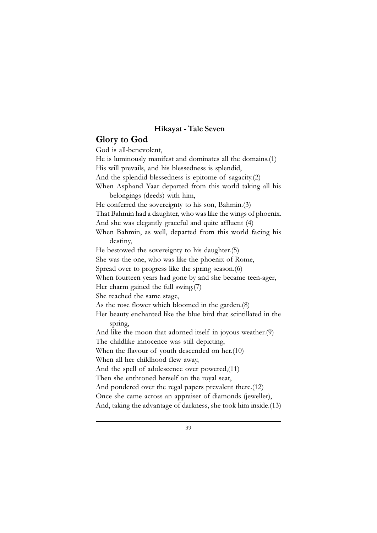# Hikayat - Tale Seven

## Glory to God

God is all-benevolent, He is luminously manifest and dominates all the domains.(1) His will prevails, and his blessedness is splendid, And the splendid blessedness is epitome of sagacity.(2) When Asphand Yaar departed from this world taking all his belongings (deeds) with him, He conferred the sovereignty to his son, Bahmin.(3) That Bahmin had a daughter, who was like the wings of phoenix. And she was elegantly graceful and quite affluent (4) When Bahmin, as well, departed from this world facing his destiny, He bestowed the sovereignty to his daughter.(5) She was the one, who was like the phoenix of Rome, Spread over to progress like the spring season.(6) When fourteen years had gone by and she became teen-ager, Her charm gained the full swing.(7) She reached the same stage, As the rose flower which bloomed in the garden.(8) Her beauty enchanted like the blue bird that scintillated in the spring, And like the moon that adorned itself in joyous weather.(9) The childlike innocence was still depicting, When the flavour of youth descended on her.(10) When all her childhood flew away, And the spell of adolescence over powered,(11) Then she enthroned herself on the royal seat, And pondered over the regal papers prevalent there.(12) Once she came across an appraiser of diamonds (jeweller), And, taking the advantage of darkness, she took him inside.(13)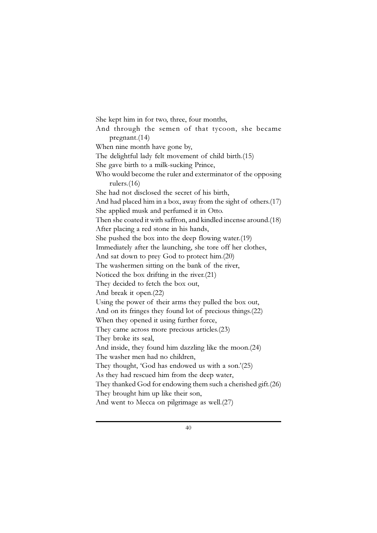She kept him in for two, three, four months, And through the semen of that tycoon, she became pregnant.(14) When nine month have gone by, The delightful lady felt movement of child birth.(15) She gave birth to a milk-sucking Prince, Who would become the ruler and exterminator of the opposing rulers.(16) She had not disclosed the secret of his birth, And had placed him in a box, away from the sight of others.(17) She applied musk and perfumed it in Otto. Then she coated it with saffron, and kindled incense around.(18) After placing a red stone in his hands, She pushed the box into the deep flowing water.(19) Immediately after the launching, she tore off her clothes, And sat down to prey God to protect him.(20) The washermen sitting on the bank of the river, Noticed the box drifting in the river.(21) They decided to fetch the box out, And break it open.(22) Using the power of their arms they pulled the box out, And on its fringes they found lot of precious things.(22) When they opened it using further force, They came across more precious articles.(23) They broke its seal, And inside, they found him dazzling like the moon.(24) The washer men had no children, They thought, 'God has endowed us with a son.'(25) As they had rescued him from the deep water, They thanked God for endowing them such a cherished gift.(26) They brought him up like their son, And went to Mecca on pilgrimage as well.(27)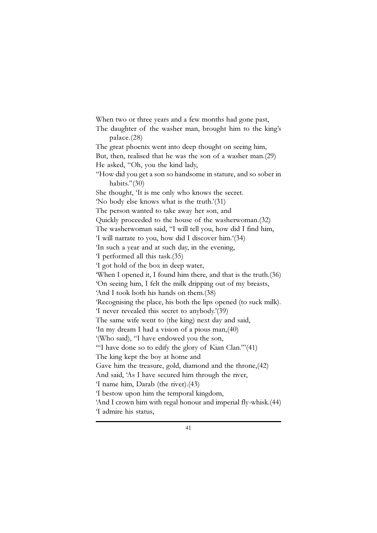When two or three years and a few months had gone past, The daughter of the washer man, brought him to the king's palace.(28) The great phoenix went into deep thought on seeing him, But, then, realised that he was the son of a washer man.(29) He asked, "Oh, you the kind lady, "How did you get a son so handsome in stature, and so sober in habits."(30) She thought, 'It is me only who knows the secret. 'No body else knows what is the truth.'(31) The person wanted to take away her son, and Quickly proceeded to the house of the washerwoman.(32) The washerwoman said, "I will tell you, how did I find him, 'I will narrate to you, how did I discover him.'(34) 'In such a year and at such day, in the evening, 'I performed all this task.(35) 'I got hold of the box in deep water, 'When I opened it, I found him there, and that is the truth.(36) 'On seeing him, I felt the milk dripping out of my breasts, 'And I took both his hands on them.(38) 'Recognising the place, his both the lips opened (to suck milk). 'I never revealed this secret to anybody.'(39) The same wife went to (the king) next day and said, 'In my dream I had a vision of a pious man,(40) '(Who said), "I have endowed you the son, '"I have done so to edify the glory of Kian Clan.'"(41) The king kept the boy at home and Gave him the treasure, gold, diamond and the throne,(42) And said, 'As I have secured him through the river, 'I name him, Darab (the river).(43) 'I bestow upon him the temporal kingdom, 'And I crown him with regal honour and imperial fly-whisk.(44) 'I admire his status,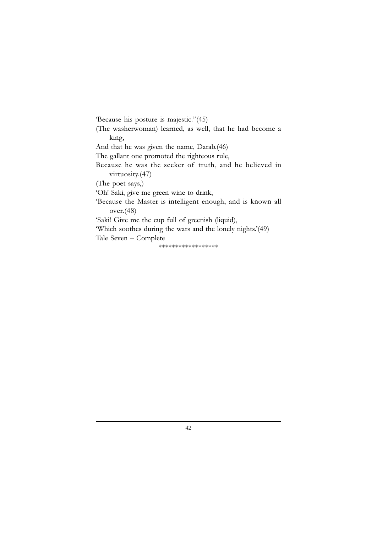'Because his posture is majestic."(45) (The washerwoman) learned, as well, that he had become a king, And that he was given the name, Darab.(46) The gallant one promoted the righteous rule, Because he was the seeker of truth, and he believed in virtuosity.(47) (The poet says,) 'Oh! Saki, give me green wine to drink, 'Because the Master is intelligent enough, and is known all over.(48) 'Saki! Give me the cup full of greenish (liquid), 'Which soothes during the wars and the lonely nights.'(49) Tale Seven – Complete \*\*\*\*\*\*\*\*\*\*\*\*\*\*\*\*\*\*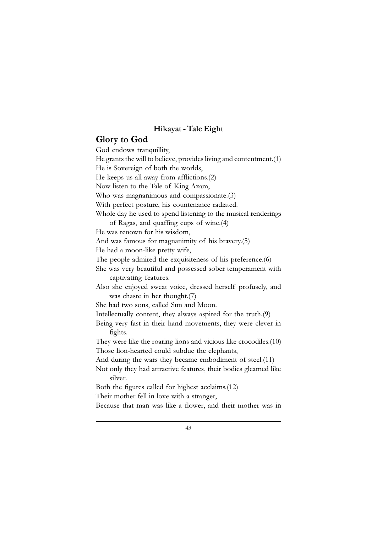## Hikayat - Tale Eight

## Glory to God

God endows tranquillity, He grants the will to believe, provides living and contentment.(1) He is Sovereign of both the worlds, He keeps us all away from afflictions.(2) Now listen to the Tale of King Azam, Who was magnanimous and compassionate.(3) With perfect posture, his countenance radiated. Whole day he used to spend listening to the musical renderings of Ragas, and quaffing cups of wine.(4) He was renown for his wisdom, And was famous for magnanimity of his bravery.(5) He had a moon-like pretty wife, The people admired the exquisiteness of his preference.(6) She was very beautiful and possessed sober temperament with captivating features. Also she enjoyed sweat voice, dressed herself profusely, and was chaste in her thought.(7) She had two sons, called Sun and Moon. Intellectually content, they always aspired for the truth.(9) Being very fast in their hand movements, they were clever in fights. They were like the roaring lions and vicious like crocodiles.(10) Those lion-hearted could subdue the elephants, And during the wars they became embodiment of steel.(11) Not only they had attractive features, their bodies gleamed like silver. Both the figures called for highest acclaims.(12) Their mother fell in love with a stranger, Because that man was like a flower, and their mother was in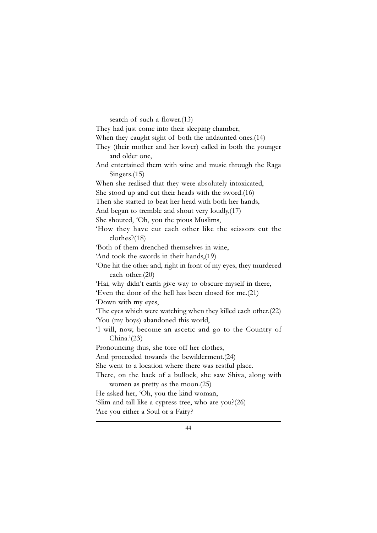search of such a flower.(13)

They had just come into their sleeping chamber, When they caught sight of both the undaunted ones.(14) They (their mother and her lover) called in both the younger and older one, And entertained them with wine and music through the Raga Singers.(15) When she realised that they were absolutely intoxicated, She stood up and cut their heads with the sword.(16) Then she started to beat her head with both her hands, And began to tremble and shout very loudly,(17) She shouted, 'Oh, you the pious Muslims, 'How they have cut each other like the scissors cut the clothes?(18) 'Both of them drenched themselves in wine, 'And took the swords in their hands,(19) 'One hit the other and, right in front of my eyes, they murdered each other.(20) 'Hai, why didn't earth give way to obscure myself in there, 'Even the door of the hell has been closed for me.(21) 'Down with my eyes, 'The eyes which were watching when they killed each other.(22) 'You (my boys) abandoned this world, 'I will, now, become an ascetic and go to the Country of China.'(23) Pronouncing thus, she tore off her clothes, And proceeded towards the bewilderment.(24) She went to a location where there was restful place. There, on the back of a bullock, she saw Shiva, along with women as pretty as the moon.(25) He asked her, 'Oh, you the kind woman, 'Slim and tall like a cypress tree, who are you?(26) 'Are you either a Soul or a Fairy?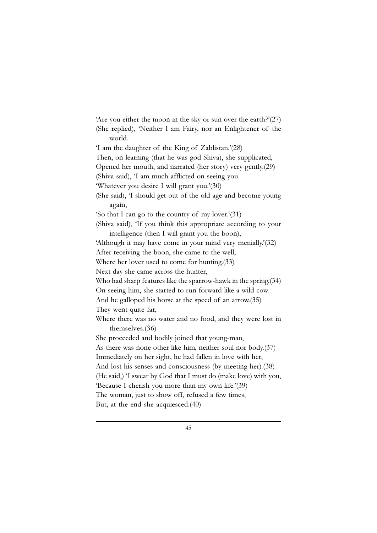'Are you either the moon in the sky or sun over the earth?'(27) (She replied), 'Neither I am Fairy, nor an Enlightener of the world. 'I am the daughter of the King of Zablistan.'(28) Then, on learning (that he was god Shiva), she supplicated, Opened her mouth, and narrated (her story) very gently.(29) (Shiva said), 'I am much afflicted on seeing you. 'Whatever you desire I will grant you.'(30) (She said), 'I should get out of the old age and become young again, 'So that I can go to the country of my lover.'(31) (Shiva said), 'If you think this appropriate according to your intelligence (then I will grant you the boon), 'Although it may have come in your mind very menially.'(32) After receiving the boon, she came to the well, Where her lover used to come for hunting.(33) Next day she came across the hunter, Who had sharp features like the sparrow-hawk in the spring.(34) On seeing him, she started to run forward like a wild cow. And he galloped his horse at the speed of an arrow.(35) They went quite far, Where there was no water and no food, and they were lost in themselves.(36) She proceeded and bodily joined that young-man, As there was none other like him, neither soul nor body.(37) Immediately on her sight, he had fallen in love with her, And lost his senses and consciousness (by meeting her).(38) (He said,) 'I swear by God that I must do (make love) with you, 'Because I cherish you more than my own life.'(39) The woman, just to show off, refused a few times, But, at the end she acquiesced.(40)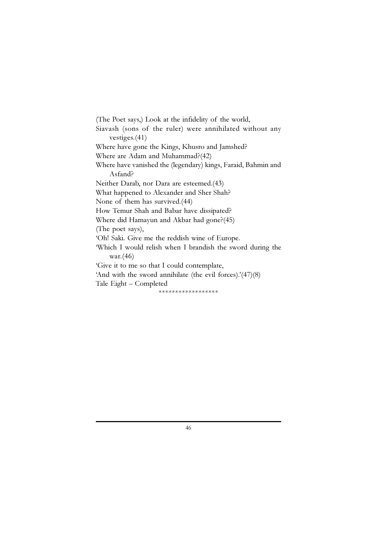(The Poet says,) Look at the infidelity of the world, Siavash (sons of the ruler) were annihilated without any vestiges.(41) Where have gone the Kings, Khusro and Jamshed? Where are Adam and Muhammad?(42) Where have vanished the (legendary) kings, Faraid, Bahmin and Asfand? Neither Darab, nor Dara are esteemed.(43) What happened to Alexander and Sher Shah? None of them has survived.(44) How Temur Shah and Babar have dissipated? Where did Hamayun and Akbar had gone?(45) (The poet says), 'Oh! Saki. Give me the reddish wine of Europe. 'Which I would relish when I brandish the sword during the war.(46) 'Give it to me so that I could contemplate, 'And with the sword annihilate (the evil forces).'(47)(8) Tale Eight – Completed \*\*\*\*\*\*\*\*\*\*\*\*\*\*\*\*\*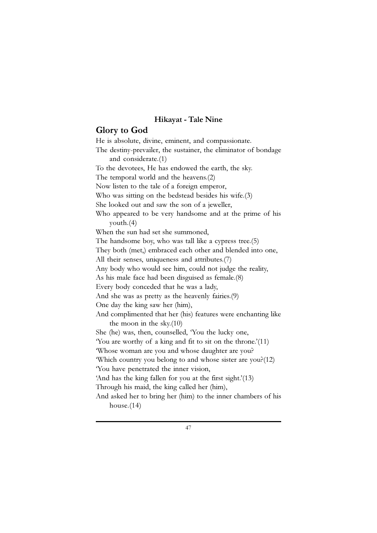## Hikayat - Tale Nine

# Glory to God

He is absolute, divine, eminent, and compassionate. The destiny-prevailer, the sustainer, the eliminator of bondage and considerate.(1) To the devotees, He has endowed the earth, the sky. The temporal world and the heavens.(2) Now listen to the tale of a foreign emperor, Who was sitting on the bedstead besides his wife.(3) She looked out and saw the son of a jeweller, Who appeared to be very handsome and at the prime of his youth.(4) When the sun had set she summoned, The handsome boy, who was tall like a cypress tree.(5) They both (met,) embraced each other and blended into one, All their senses, uniqueness and attributes.(7) Any body who would see him, could not judge the reality, As his male face had been disguised as female.(8) Every body conceded that he was a lady, And she was as pretty as the heavenly fairies.(9) One day the king saw her (him), And complimented that her (his) features were enchanting like the moon in the sky.(10) She (he) was, then, counselled, 'You the lucky one, 'You are worthy of a king and fit to sit on the throne.'(11) 'Whose woman are you and whose daughter are you? 'Which country you belong to and whose sister are you?(12) 'You have penetrated the inner vision, 'And has the king fallen for you at the first sight.'(13) Through his maid, the king called her (him), And asked her to bring her (him) to the inner chambers of his house.(14)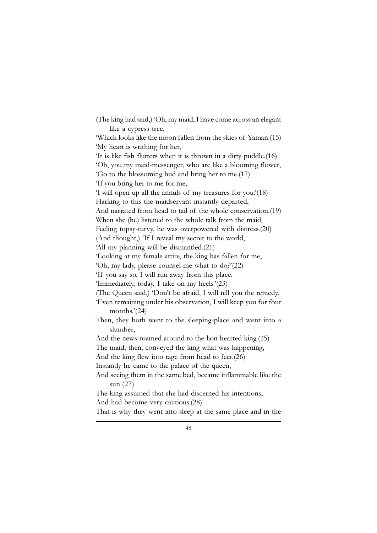(The king had said,) 'Oh, my maid, I have come across an elegant like a cypress tree, 'Which looks like the moon fallen from the skies of Yaman.(15) 'My heart is writhing for her, 'It is like fish flutters when it is thrown in a dirty puddle.(16) 'Oh, you my maid-messenger, who are like a blooming flower, 'Go to the blossoming bud and bring her to me.(17) 'If you bring her to me for me, 'I will open up all the annuls of my treasures for you.'(18) Harking to this the maidservant instantly departed, And narrated from head to tail of the whole conservation.(19) When she (he) listened to the whole talk from the maid, Feeling topsy-turvy, he was overpowered with distress.(20) (And thought,) 'If I reveal my secret to the world, 'All my planning will be dismantled.(21) 'Looking at my female attire, the king has fallen for me, 'Oh, my lady, please counsel me what to do?'(22) 'If you say so, I will run away from this place. 'Immediately, today, I take on my heels.'(23) (The Queen said,) 'Don't be afraid, I will tell you the remedy. 'Even remaining under his observation, I will keep you for four months.'(24) Then, they both went to the sleeping-place and went into a slumber, And the news roamed around to the lion hearted king.(25) The maid, then, conveyed the king what was happening, And the king flew into rage from head to feet.(26) Instantly he came to the palace of the queen, And seeing them in the same bed, became inflammable like the sun.(27) The king assumed that she had discerned his intentions, And had become very cautious.(28) That is why they went into sleep at the same place and in the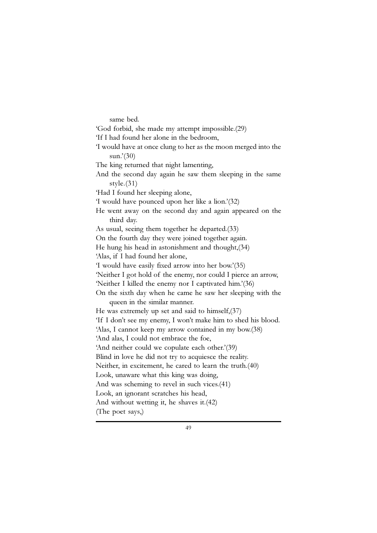same bed. 'God forbid, she made my attempt impossible.(29) 'If I had found her alone in the bedroom, 'I would have at once clung to her as the moon merged into the sun.'(30) The king returned that night lamenting, And the second day again he saw them sleeping in the same style.(31) 'Had I found her sleeping alone, 'I would have pounced upon her like a lion.'(32) He went away on the second day and again appeared on the third day. As usual, seeing them together he departed.(33) On the fourth day they were joined together again. He hung his head in astonishment and thought,(34) 'Alas, if I had found her alone, 'I would have easily fixed arrow into her bow.'(35) 'Neither I got hold of the enemy, nor could I pierce an arrow, 'Neither I killed the enemy nor I captivated him.'(36) On the sixth day when he came he saw her sleeping with the queen in the similar manner. He was extremely up set and said to himself,(37) 'If I don't see my enemy, I won't make him to shed his blood. 'Alas, I cannot keep my arrow contained in my bow.(38) 'And alas, I could not embrace the foe, 'And neither could we copulate each other.'(39) Blind in love he did not try to acquiesce the reality. Neither, in excitement, he cared to learn the truth.(40) Look, unaware what this king was doing, And was scheming to revel in such vices.(41) Look, an ignorant scratches his head, And without wetting it, he shaves it.(42) (The poet says,)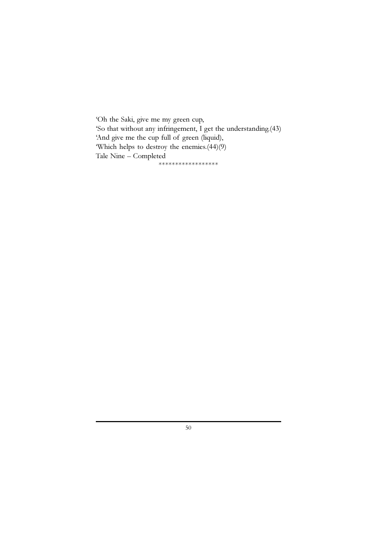'Oh the Saki, give me my green cup, 'So that without any infringement, I get the understanding.(43) 'And give me the cup full of green (liquid), 'Which helps to destroy the enemies.(44)(9) Tale Nine – Completed \*\*\*\*\*\*\*\*\*\*\*\*\*\*\*\*\*\*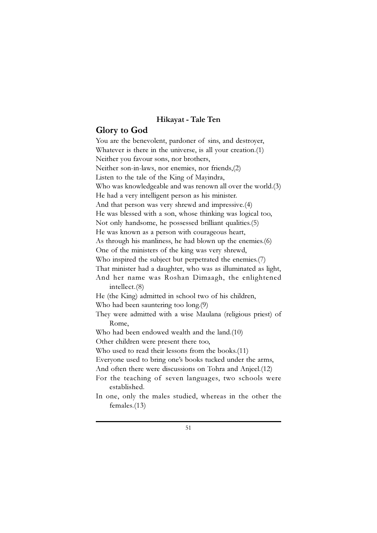## Hikayat - Tale Ten

# Glory to God

You are the benevolent, pardoner of sins, and destroyer, Whatever is there in the universe, is all your creation.(1) Neither you favour sons, nor brothers, Neither son-in-laws, nor enemies, nor friends,(2) Listen to the tale of the King of Mayindra, Who was knowledgeable and was renown all over the world.(3) He had a very intelligent person as his minister. And that person was very shrewd and impressive.(4) He was blessed with a son, whose thinking was logical too, Not only handsome, he possessed brilliant qualities.(5) He was known as a person with courageous heart, As through his manliness, he had blown up the enemies.(6) One of the ministers of the king was very shrewd, Who inspired the subject but perpetrated the enemies.(7) That minister had a daughter, who was as illuminated as light, And her name was Roshan Dimaagh, the enlightened intellect.(8) He (the King) admitted in school two of his children, Who had been sauntering too long.(9) They were admitted with a wise Maulana (religious priest) of Rome, Who had been endowed wealth and the land.(10) Other children were present there too, Who used to read their lessons from the books.(11) Everyone used to bring one's books tucked under the arms, And often there were discussions on Tohra and Anjeel.(12) For the teaching of seven languages, two schools were established. In one, only the males studied, whereas in the other the females.(13)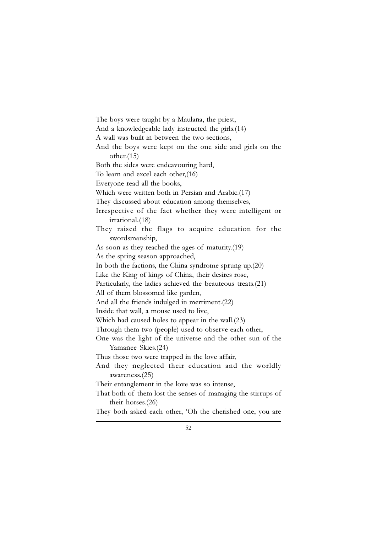The boys were taught by a Maulana, the priest, And a knowledgeable lady instructed the girls.(14) A wall was built in between the two sections, And the boys were kept on the one side and girls on the other.(15) Both the sides were endeavouring hard, To learn and excel each other,(16) Everyone read all the books, Which were written both in Persian and Arabic.(17) They discussed about education among themselves, Irrespective of the fact whether they were intelligent or irrational.(18) They raised the flags to acquire education for the swordsmanship, As soon as they reached the ages of maturity.(19) As the spring season approached, In both the factions, the China syndrome sprung up.(20) Like the King of kings of China, their desires rose, Particularly, the ladies achieved the beauteous treats.(21) All of them blossomed like garden, And all the friends indulged in merriment.(22) Inside that wall, a mouse used to live, Which had caused holes to appear in the wall.(23) Through them two (people) used to observe each other, One was the light of the universe and the other sun of the Yamanee Skies.(24) Thus those two were trapped in the love affair, And they neglected their education and the worldly awareness.(25) Their entanglement in the love was so intense, That both of them lost the senses of managing the stirrups of their horses.(26)

They both asked each other, 'Oh the cherished one, you are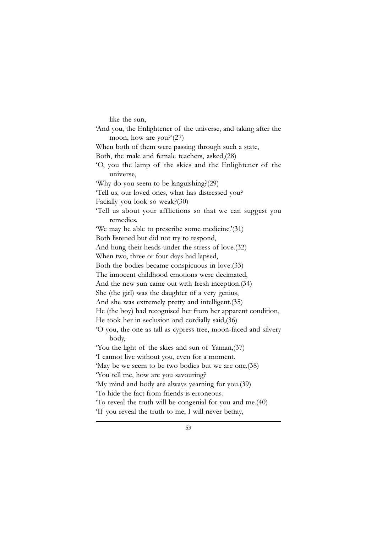like the sun, 'And you, the Enlightener of the universe, and taking after the moon, how are you?'(27) When both of them were passing through such a state, Both, the male and female teachers, asked,(28) 'O, you the lamp of the skies and the Enlightener of the universe, 'Why do you seem to be languishing?(29) 'Tell us, our loved ones, what has distressed you? Facially you look so weak?(30) 'Tell us about your afflictions so that we can suggest you remedies. 'We may be able to prescribe some medicine.'(31) Both listened but did not try to respond, And hung their heads under the stress of love.(32) When two, three or four days had lapsed, Both the bodies became conspicuous in love.(33) The innocent childhood emotions were decimated, And the new sun came out with fresh inception.(34) She (the girl) was the daughter of a very genius, And she was extremely pretty and intelligent.(35) He (the boy) had recognised her from her apparent condition, He took her in seclusion and cordially said,(36) 'O you, the one as tall as cypress tree, moon-faced and silvery body, 'You the light of the skies and sun of Yaman,(37) 'I cannot live without you, even for a moment. 'May be we seem to be two bodies but we are one.(38) 'You tell me, how are you savouring? 'My mind and body are always yearning for you.(39) 'To hide the fact from friends is erroneous. 'To reveal the truth will be congenial for you and me.(40) 'If you reveal the truth to me, I will never betray,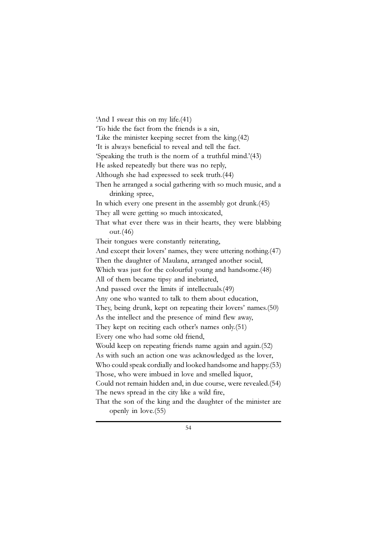'And I swear this on my life.(41) 'To hide the fact from the friends is a sin, 'Like the minister keeping secret from the king.(42) 'It is always beneficial to reveal and tell the fact. 'Speaking the truth is the norm of a truthful mind.'(43) He asked repeatedly but there was no reply, Although she had expressed to seek truth.(44) Then he arranged a social gathering with so much music, and a drinking spree, In which every one present in the assembly got drunk.(45) They all were getting so much intoxicated, That what ever there was in their hearts, they were blabbing out.(46) Their tongues were constantly reiterating, And except their lovers' names, they were uttering nothing.(47) Then the daughter of Maulana, arranged another social, Which was just for the colourful young and handsome.(48) All of them became tipsy and inebriated, And passed over the limits if intellectuals.(49) Any one who wanted to talk to them about education, They, being drunk, kept on repeating their lovers' names.(50) As the intellect and the presence of mind flew away, They kept on reciting each other's names only.(51) Every one who had some old friend, Would keep on repeating friends name again and again.(52) As with such an action one was acknowledged as the lover, Who could speak cordially and looked handsome and happy.(53) Those, who were imbued in love and smelled liquor, Could not remain hidden and, in due course, were revealed.(54) The news spread in the city like a wild fire, That the son of the king and the daughter of the minister are openly in love.(55)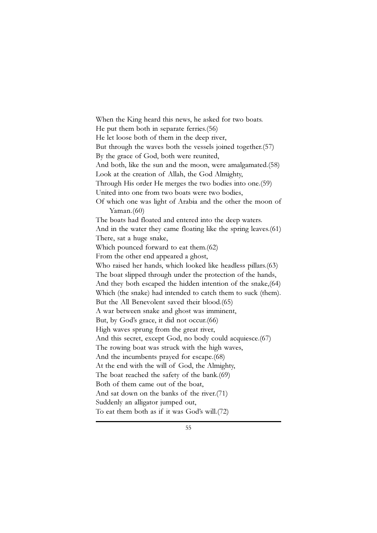When the King heard this news, he asked for two boats. He put them both in separate ferries.(56) He let loose both of them in the deep river, But through the waves both the vessels joined together.(57) By the grace of God, both were reunited, And both, like the sun and the moon, were amalgamated.(58) Look at the creation of Allah, the God Almighty, Through His order He merges the two bodies into one.(59) United into one from two boats were two bodies, Of which one was light of Arabia and the other the moon of  $Yaman.(60)$ The boats had floated and entered into the deep waters. And in the water they came floating like the spring leaves.(61) There, sat a huge snake, Which pounced forward to eat them.(62) From the other end appeared a ghost, Who raised her hands, which looked like headless pillars.(63) The boat slipped through under the protection of the hands, And they both escaped the hidden intention of the snake,(64) Which (the snake) had intended to catch them to suck (them). But the All Benevolent saved their blood.(65) A war between snake and ghost was imminent, But, by God's grace, it did not occur.(66) High waves sprung from the great river, And this secret, except God, no body could acquiesce.(67) The rowing boat was struck with the high waves, And the incumbents prayed for escape.(68) At the end with the will of God, the Almighty, The boat reached the safety of the bank.(69) Both of them came out of the boat, And sat down on the banks of the river.(71) Suddenly an alligator jumped out, To eat them both as if it was God's will.(72)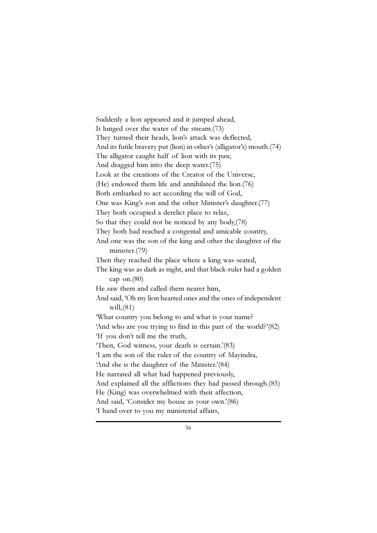Suddenly a lion appeared and it jumped ahead, It lunged over the water of the stream.(73) They turned their heads, lion's attack was deflected, And its futile bravery put (lion) in other's (alligator's) mouth.(74) The alligator caught half of lion with its paw, And dragged him into the deep water.(75) Look at the creations of the Creator of the Universe, (He) endowed them life and annihilated the lion.(76) Both embarked to act according the will of God, One was King's son and the other Minister's daughter.(77) They both occupied a derelict place to relax, So that they could not be noticed by any body,(78) They both had reached a congenial and amicable country, And one was the son of the king and other the daughter of the minister.(79) Then they reached the place where a king was seated, The king was as dark as night, and that black-ruler had a golden cap on.(80) He saw them and called them nearer him, And said, 'Oh my lion hearted ones and the ones of independent will,(81) 'What country you belong to and what is your name? 'And who are you trying to find in this part of the world?'(82) 'If you don't tell me the truth, 'Then, God witness, your death is certain.'(83) 'I am the son of the ruler of the country of Mayindra, 'And she is the daughter of the Minister.'(84) He narrated all what had happened previously, And explained all the afflictions they had passed through.(85) He (King) was overwhelmed with their affection, And said, 'Consider my house as your own.'(86) 'I hand over to you my ministerial affairs,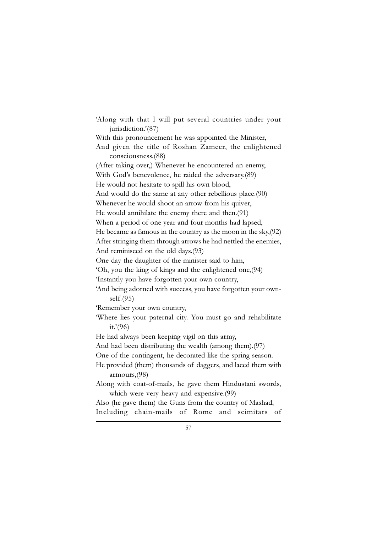'Along with that I will put several countries under your jurisdiction.'(87) With this pronouncement he was appointed the Minister, And given the title of Roshan Zameer, the enlightened consciousness.(88) (After taking over,) Whenever he encountered an enemy, With God's benevolence, he raided the adversary.(89) He would not hesitate to spill his own blood, And would do the same at any other rebellious place.(90) Whenever he would shoot an arrow from his quiver, He would annihilate the enemy there and then.(91) When a period of one year and four months had lapsed, He became as famous in the country as the moon in the sky,(92) After stringing them through arrows he had nettled the enemies, And reminisced on the old days.(93) One day the daughter of the minister said to him, 'Oh, you the king of kings and the enlightened one,(94) 'Instantly you have forgotten your own country, 'And being adorned with success, you have forgotten your ownself.(95) 'Remember your own country, 'Where lies your paternal city. You must go and rehabilitate it.'(96) He had always been keeping vigil on this army, And had been distributing the wealth (among them).(97) One of the contingent, he decorated like the spring season. He provided (them) thousands of daggers, and laced them with armours,(98) Along with coat-of-mails, he gave them Hindustani swords, which were very heavy and expensive.(99) Also (he gave them) the Guns from the country of Mashad, Including chain-mails of Rome and scimitars of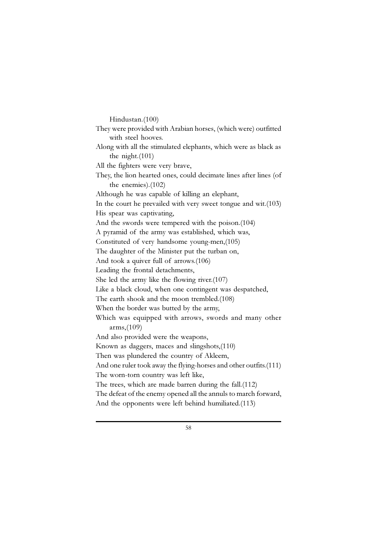Hindustan.(100) They were provided with Arabian horses, (which were) outfitted with steel hooves. Along with all the stimulated elephants, which were as black as the night.(101) All the fighters were very brave, They, the lion hearted ones, could decimate lines after lines (of the enemies).(102) Although he was capable of killing an elephant, In the court he prevailed with very sweet tongue and wit.(103) His spear was captivating, And the swords were tempered with the poison.(104) A pyramid of the army was established, which was, Constituted of very handsome young-men,(105) The daughter of the Minister put the turban on, And took a quiver full of arrows.(106) Leading the frontal detachments, She led the army like the flowing river.(107) Like a black cloud, when one contingent was despatched, The earth shook and the moon trembled.(108) When the border was butted by the army, Which was equipped with arrows, swords and many other arms,(109) And also provided were the weapons, Known as daggers, maces and slingshots,(110) Then was plundered the country of Akleem, And one ruler took away the flying-horses and other outfits.(111) The worn-torn country was left like, The trees, which are made barren during the fall.(112) The defeat of the enemy opened all the annuls to march forward, And the opponents were left behind humiliated.(113)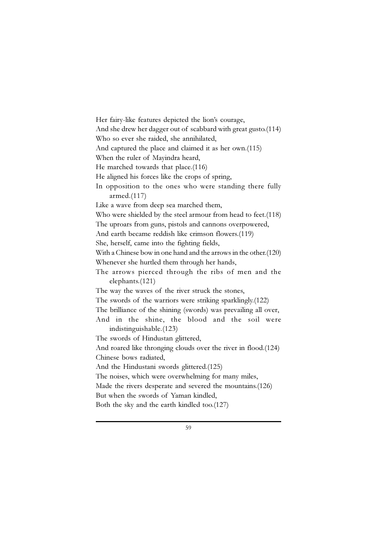Her fairy-like features depicted the lion's courage, And she drew her dagger out of scabbard with great gusto.(114) Who so ever she raided, she annihilated, And captured the place and claimed it as her own.(115) When the ruler of Mayindra heard, He marched towards that place.(116) He aligned his forces like the crops of spring, In opposition to the ones who were standing there fully armed.(117) Like a wave from deep sea marched them, Who were shielded by the steel armour from head to feet.(118) The uproars from guns, pistols and cannons overpowered, And earth became reddish like crimson flowers.(119) She, herself, came into the fighting fields, With a Chinese bow in one hand and the arrows in the other.(120) Whenever she hurtled them through her hands, The arrows pierced through the ribs of men and the elephants.(121) The way the waves of the river struck the stones, The swords of the warriors were striking sparklingly.(122) The brilliance of the shining (swords) was prevailing all over, And in the shine, the blood and the soil were indistinguishable.(123) The swords of Hindustan glittered, And roared like thronging clouds over the river in flood.(124) Chinese bows radiated, And the Hindustani swords glittered.(125) The noises, which were overwhelming for many miles, Made the rivers desperate and severed the mountains.(126) But when the swords of Yaman kindled, Both the sky and the earth kindled too.(127)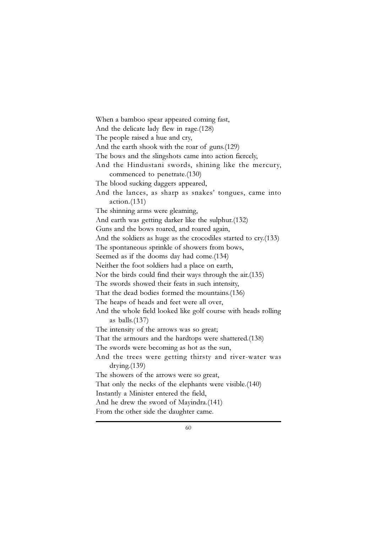When a bamboo spear appeared coming fast, And the delicate lady flew in rage.(128) The people raised a hue and cry, And the earth shook with the roar of guns.(129) The bows and the slingshots came into action fiercely, And the Hindustani swords, shining like the mercury, commenced to penetrate.(130) The blood sucking daggers appeared, And the lances, as sharp as snakes' tongues, came into action.(131) The shinning arms were gleaming, And earth was getting darker like the sulphur.(132) Guns and the bows roared, and roared again, And the soldiers as huge as the crocodiles started to cry.(133) The spontaneous sprinkle of showers from bows, Seemed as if the dooms day had come.(134) Neither the foot soldiers had a place on earth, Nor the birds could find their ways through the air.(135) The swords showed their feats in such intensity, That the dead bodies formed the mountains.(136) The heaps of heads and feet were all over, And the whole field looked like golf course with heads rolling as balls.(137) The intensity of the arrows was so great; That the armours and the hardtops were shattered.(138) The swords were becoming as hot as the sun, And the trees were getting thirsty and river-water was drying.(139) The showers of the arrows were so great, That only the necks of the elephants were visible.(140) Instantly a Minister entered the field, And he drew the sword of Mayindra.(141) From the other side the daughter came.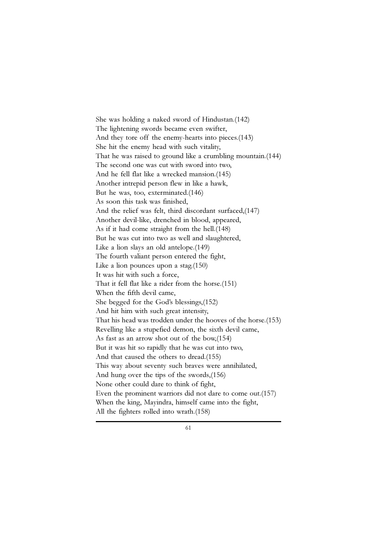She was holding a naked sword of Hindustan.(142) The lightening swords became even swifter, And they tore off the enemy-hearts into pieces.(143) She hit the enemy head with such vitality, That he was raised to ground like a crumbling mountain.(144) The second one was cut with sword into two, And he fell flat like a wrecked mansion.(145) Another intrepid person flew in like a hawk, But he was, too, exterminated.(146) As soon this task was finished, And the relief was felt, third discordant surfaced,(147) Another devil-like, drenched in blood, appeared, As if it had come straight from the hell.(148) But he was cut into two as well and slaughtered, Like a lion slays an old antelope.(149) The fourth valiant person entered the fight, Like a lion pounces upon a stag.(150) It was hit with such a force, That it fell flat like a rider from the horse.(151) When the fifth devil came, She begged for the God's blessings,(152) And hit him with such great intensity, That his head was trodden under the hooves of the horse.(153) Revelling like a stupefied demon, the sixth devil came, As fast as an arrow shot out of the bow,(154) But it was hit so rapidly that he was cut into two, And that caused the others to dread.(155) This way about seventy such braves were annihilated, And hung over the tips of the swords,(156) None other could dare to think of fight, Even the prominent warriors did not dare to come out.(157) When the king, Mayindra, himself came into the fight, All the fighters rolled into wrath.(158)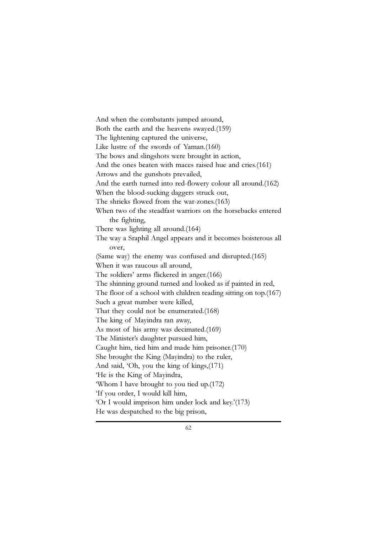And when the combatants jumped around, Both the earth and the heavens swayed.(159) The lightening captured the universe, Like lustre of the swords of Yaman.(160) The bows and slingshots were brought in action, And the ones beaten with maces raised hue and cries.(161) Arrows and the gunshots prevailed, And the earth turned into red-flowery colour all around.(162) When the blood-sucking daggers struck out, The shrieks flowed from the war-zones.(163) When two of the steadfast warriors on the horsebacks entered the fighting, There was lighting all around.(164) The way a Sraphil Angel appears and it becomes boisterous all over, (Same way) the enemy was confused and disrupted.(165) When it was raucous all around, The soldiers' arms flickered in anger.(166) The shinning ground turned and looked as if painted in red, The floor of a school with children reading sitting on top.(167) Such a great number were killed, That they could not be enumerated.(168) The king of Mayindra ran away, As most of his army was decimated.(169) The Minister's daughter pursued him, Caught him, tied him and made him prisoner.(170) She brought the King (Mayindra) to the ruler, And said, 'Oh, you the king of kings,(171) 'He is the King of Mayindra, 'Whom I have brought to you tied up.(172) 'If you order, I would kill him, 'Or I would imprison him under lock and key.'(173) He was despatched to the big prison,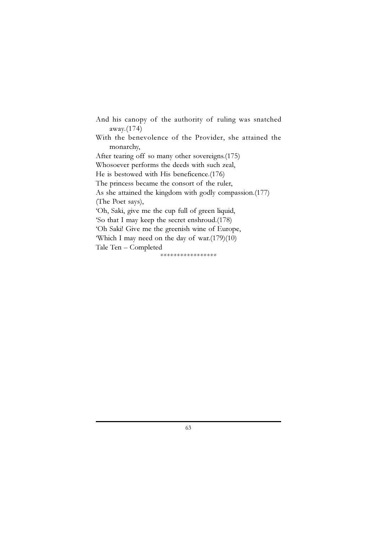And his canopy of the authority of ruling was snatched away.(174) With the benevolence of the Provider, she attained the monarchy, After tearing off so many other sovereigns.(175) Whosoever performs the deeds with such zeal, He is bestowed with His beneficence.(176) The princess became the consort of the ruler, As she attained the kingdom with godly compassion.(177) (The Poet says), 'Oh, Saki, give me the cup full of green liquid, 'So that I may keep the secret enshroud.(178) 'Oh Saki! Give me the greenish wine of Europe, 'Which I may need on the day of war.(179)(10) Tale Ten – Completed \*\*\*\*\*\*\*\*\*\*\*\*\*\*\*\*\*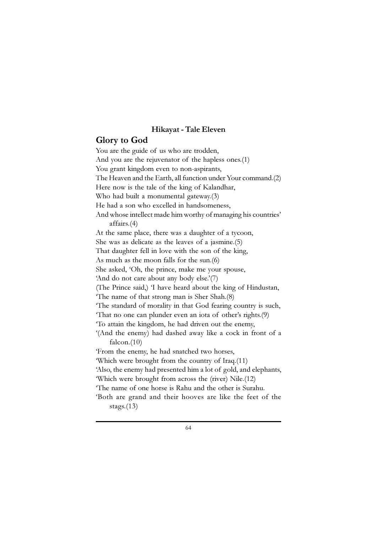#### Hikayat - Tale Eleven

### Glory to God

You are the guide of us who are trodden, And you are the rejuvenator of the hapless ones.(1) You grant kingdom even to non-aspirants, The Heaven and the Earth, all function under Your command.(2) Here now is the tale of the king of Kalandhar, Who had built a monumental gateway.(3) He had a son who excelled in handsomeness, And whose intellect made him worthy of managing his countries' affairs.(4) At the same place, there was a daughter of a tycoon, She was as delicate as the leaves of a jasmine.(5) That daughter fell in love with the son of the king, As much as the moon falls for the sun.(6) She asked, 'Oh, the prince, make me your spouse, 'And do not care about any body else.'(7) (The Prince said,) 'I have heard about the king of Hindustan, 'The name of that strong man is Sher Shah.(8) 'The standard of morality in that God fearing country is such, 'That no one can plunder even an iota of other's rights.(9) 'To attain the kingdom, he had driven out the enemy, '(And the enemy) had dashed away like a cock in front of a falcon. $(10)$ 'From the enemy, he had snatched two horses, 'Which were brought from the country of Iraq.(11) 'Also, the enemy had presented him a lot of gold, and elephants, 'Which were brought from across the (river) Nile.(12) 'The name of one horse is Rahu and the other is Surahu. 'Both are grand and their hooves are like the feet of the stags.(13)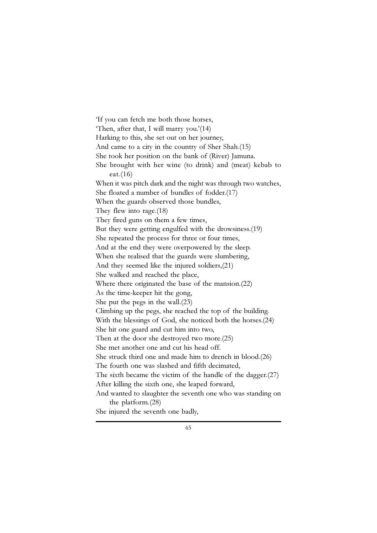'If you can fetch me both those horses, 'Then, after that, I will marry you.'(14) Harking to this, she set out on her journey, And came to a city in the country of Sher Shah.(15) She took her position on the bank of (River) Jamuna. She brought with her wine (to drink) and (meat) kebab to eat.(16) When it was pitch dark and the night was through two watches, She floated a number of bundles of fodder.(17) When the guards observed those bundles, They flew into rage.(18) They fired guns on them a few times, But they were getting engulfed with the drowsiness.(19) She repeated the process for three or four times, And at the end they were overpowered by the sleep. When she realised that the guards were slumbering, And they seemed like the injured soldiers,(21) She walked and reached the place, Where there originated the base of the mansion.(22) As the time-keeper hit the gong, She put the pegs in the wall.(23) Climbing up the pegs, she reached the top of the building. With the blessings of God, she noticed both the horses.(24) She hit one guard and cut him into two, Then at the door she destroyed two more.(25) She met another one and cut his head off. She struck third one and made him to drench in blood.(26) The fourth one was slashed and fifth decimated, The sixth became the victim of the handle of the dagger.(27) After killing the sixth one, she leaped forward, And wanted to slaughter the seventh one who was standing on the platform.(28)

She injured the seventh one badly,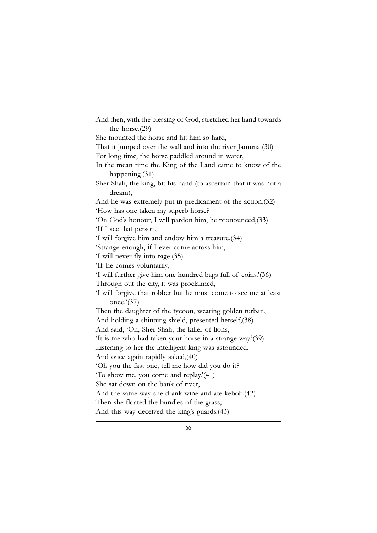And then, with the blessing of God, stretched her hand towards the horse.(29) She mounted the horse and hit him so hard, That it jumped over the wall and into the river Jamuna.(30) For long time, the horse paddled around in water, In the mean time the King of the Land came to know of the happening.(31) Sher Shah, the king, bit his hand (to ascertain that it was not a dream), And he was extremely put in predicament of the action.(32) 'How has one taken my superb horse? 'On God's honour, I will pardon him, he pronounced,(33) 'If I see that person, 'I will forgive him and endow him a treasure.(34) 'Strange enough, if I ever come across him, 'I will never fly into rage.(35) 'If he comes voluntarily, 'I will further give him one hundred bags full of coins.'(36) Through out the city, it was proclaimed, 'I will forgive that robber but he must come to see me at least once.'(37) Then the daughter of the tycoon, wearing golden turban, And holding a shinning shield, presented herself,(38) And said, 'Oh, Sher Shah, the killer of lions, 'It is me who had taken your horse in a strange way.'(39) Listening to her the intelligent king was astounded. And once again rapidly asked,(40) 'Oh you the fast one, tell me how did you do it? 'To show me, you come and replay.'(41) She sat down on the bank of river, And the same way she drank wine and ate kebob.(42) Then she floated the bundles of the grass, And this way deceived the king's guards.(43)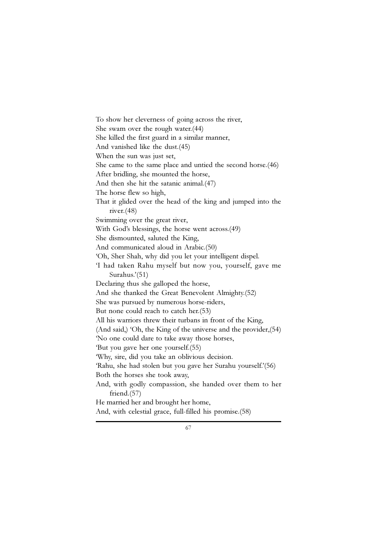To show her cleverness of going across the river, She swam over the rough water.(44) She killed the first guard in a similar manner, And vanished like the dust.(45) When the sun was just set, She came to the same place and untied the second horse.(46) After bridling, she mounted the horse, And then she hit the satanic animal.(47) The horse flew so high, That it glided over the head of the king and jumped into the river.(48) Swimming over the great river, With God's blessings, the horse went across.(49) She dismounted, saluted the King, And communicated aloud in Arabic.(50) 'Oh, Sher Shah, why did you let your intelligent dispel. 'I had taken Rahu myself but now you, yourself, gave me Surahus.'(51) Declaring thus she galloped the horse, And she thanked the Great Benevolent Almighty.(52) She was pursued by numerous horse-riders, But none could reach to catch her.(53) All his warriors threw their turbans in front of the King, (And said,) 'Oh, the King of the universe and the provider,(54) 'No one could dare to take away those horses, 'But you gave her one yourself.(55) 'Why, sire, did you take an oblivious decision. 'Rahu, she had stolen but you gave her Surahu yourself.'(56) Both the horses she took away, And, with godly compassion, she handed over them to her friend.(57) He married her and brought her home, And, with celestial grace, full-filled his promise.(58)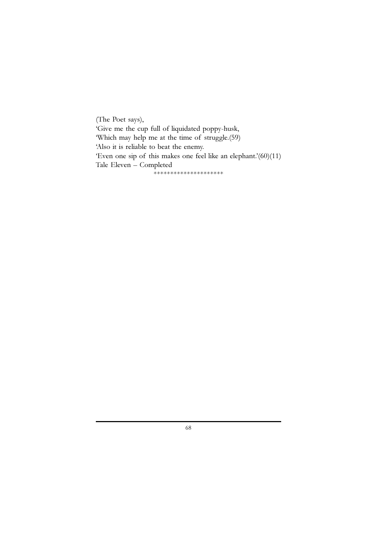(The Poet says), 'Give me the cup full of liquidated poppy-husk, 'Which may help me at the time of struggle.(59) 'Also it is reliable to beat the enemy. 'Even one sip of this makes one feel like an elephant.'(60)(11) Tale Eleven – Completed -<br>\*\*\*\*\*\*\*\*\*\*\*\*\*\*\*\*\*\*\*\*\*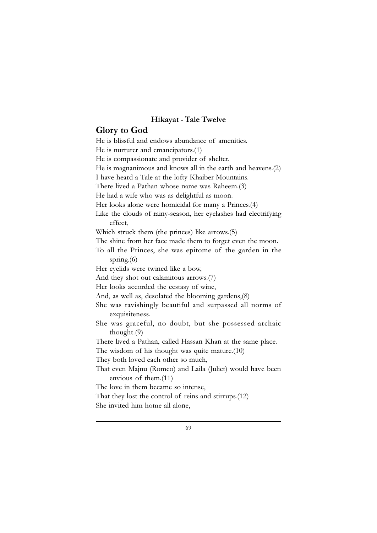## Hikayat - Tale Twelve

## Glory to God

He is blissful and endows abundance of amenities. He is nurturer and emancipators.(1) He is compassionate and provider of shelter. He is magnanimous and knows all in the earth and heavens.(2) I have heard a Tale at the lofty Khaiber Mountains. There lived a Pathan whose name was Raheem.(3) He had a wife who was as delightful as moon. Her looks alone were homicidal for many a Princes.(4) Like the clouds of rainy-season, her eyelashes had electrifying effect, Which struck them (the princes) like arrows.(5) The shine from her face made them to forget even the moon. To all the Princes, she was epitome of the garden in the spring.(6) Her eyelids were twined like a bow, And they shot out calamitous arrows.(7) Her looks accorded the ecstasy of wine, And, as well as, desolated the blooming gardens,(8) She was ravishingly beautiful and surpassed all norms of exquisiteness. She was graceful, no doubt, but she possessed archaic thought.(9) There lived a Pathan, called Hassan Khan at the same place. The wisdom of his thought was quite mature.(10) They both loved each other so much, That even Majnu (Romeo) and Laila (Juliet) would have been envious of them.(11) The love in them became so intense, That they lost the control of reins and stirrups.(12) She invited him home all alone,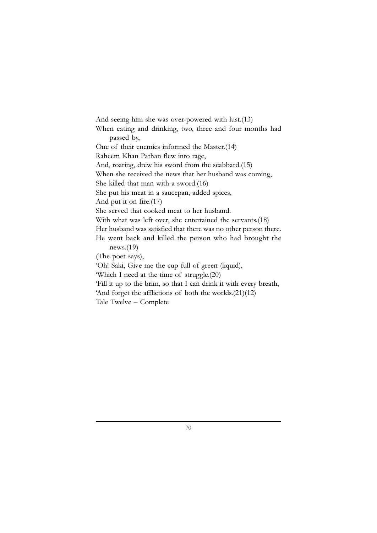And seeing him she was over-powered with lust.(13) When eating and drinking, two, three and four months had passed by, One of their enemies informed the Master.(14) Raheem Khan Pathan flew into rage, And, roaring, drew his sword from the scabbard.(15) When she received the news that her husband was coming, She killed that man with a sword.(16) She put his meat in a saucepan, added spices, And put it on fire.(17) She served that cooked meat to her husband. With what was left over, she entertained the servants.(18) Her husband was satisfied that there was no other person there. He went back and killed the person who had brought the news.(19) (The poet says), 'Oh! Saki, Give me the cup full of green (liquid), 'Which I need at the time of struggle.(20) 'Fill it up to the brim, so that I can drink it with every breath, 'And forget the afflictions of both the worlds.(21)(12)

Tale Twelve – Complete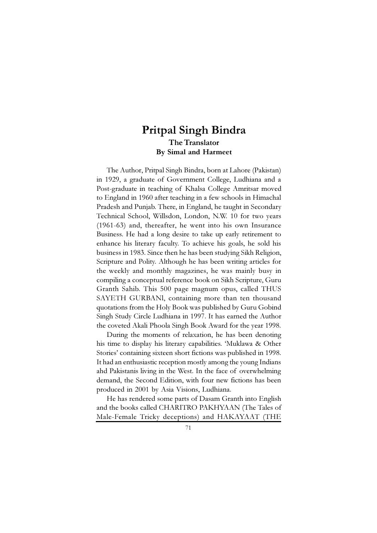# Pritpal Singh Bindra The Translator By Simal and Harmeet

The Author, Pritpal Singh Bindra, born at Lahore (Pakistan) in 1929, a graduate of Government College, Ludhiana and a Post-graduate in teaching of Khalsa College Amritsar moved to England in 1960 after teaching in a few schools in Himachal Pradesh and Punjab. There, in England, he taught in Secondary Technical School, Willsdon, London, N.W. 10 for two years (1961-63) and, thereafter, he went into his own Insurance Business. He had a long desire to take up early retirement to enhance his literary faculty. To achieve his goals, he sold his business in 1983. Since then he has been studying Sikh Religion, Scripture and Polity. Although he has been writing articles for the weekly and monthly magazines, he was mainly busy in compiling a conceptual reference book on Sikh Scripture, Guru Granth Sahib. This 500 page magnum opus, called THUS SAYETH GURBANl, containing more than ten thousand quotations from the Holy Book was published by Guru Gobind Singh Study Circle Ludhiana in 1997. It has earned the Author the coveted Akali Phoola Singh Book Award for the year 1998.

During the moments of relaxation, he has been denoting his time to display his literary capabilities. 'Muklawa & Other Stories' containing sixteen short fictions was published in 1998. It had an enthusiastic reception mostly among the young Indians ahd Pakistanis living in the West. In the face of overwhelming demand, the Second Edition, with four new fictions has been produced in 2001 by Asia Visions, Ludhiana.

He has rendered some parts of Dasam Granth into English and the books called CHARITRO PAKHYAAN (The Tales of Male-Female Tricky deceptions) and HAKAYAAT (THE